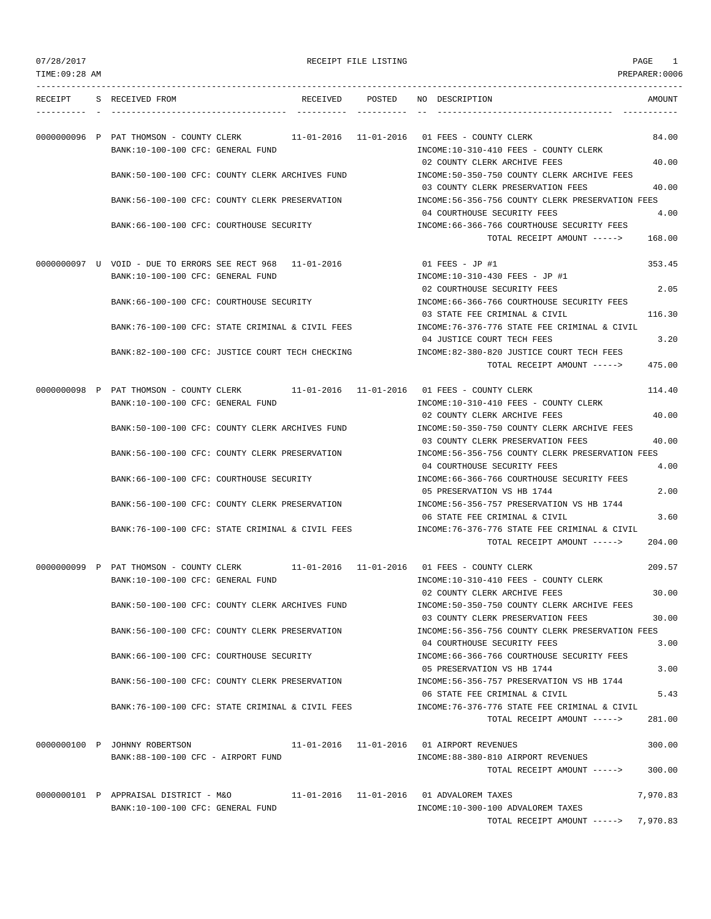---------------------------------------------------------------------------------------------------------------------------------

| RECEIPT | S RECEIVED FROM                          | RECEIVED                                                                             | POSTED | NO DESCRIPTION                                                                                                        | AMOUNT        |
|---------|------------------------------------------|--------------------------------------------------------------------------------------|--------|-----------------------------------------------------------------------------------------------------------------------|---------------|
|         | BANK:10-100-100 CFC: GENERAL FUND        | 0000000096 P PAT THOMSON - COUNTY CLERK 11-01-2016 11-01-2016 01 FEES - COUNTY CLERK |        | INCOME:10-310-410 FEES - COUNTY CLERK                                                                                 | 84.00         |
|         |                                          | BANK:50-100-100 CFC: COUNTY CLERK ARCHIVES FUND                                      |        | 02 COUNTY CLERK ARCHIVE FEES<br>INCOME: 50-350-750 COUNTY CLERK ARCHIVE FEES                                          | 40.00         |
|         |                                          | BANK:56-100-100 CFC: COUNTY CLERK PRESERVATION                                       |        | 03 COUNTY CLERK PRESERVATION FEES<br>INCOME: 56-356-756 COUNTY CLERK PRESERVATION FEES<br>04 COURTHOUSE SECURITY FEES | 40.00<br>4.00 |
|         | BANK:66-100-100 CFC: COURTHOUSE SECURITY |                                                                                      |        | INCOME: 66-366-766 COURTHOUSE SECURITY FEES<br>TOTAL RECEIPT AMOUNT ----->                                            | 168.00        |
|         |                                          | 0000000097    U    VOID - DUE TO ERRORS SEE RECT 968    11-01-2016                   |        | 01 FEES - JP #1                                                                                                       | 353.45        |
|         | BANK:10-100-100 CFC: GENERAL FUND        |                                                                                      |        | INCOME:10-310-430 FEES - JP #1<br>02 COURTHOUSE SECURITY FEES                                                         | 2.05          |
|         | BANK:66-100-100 CFC: COURTHOUSE SECURITY |                                                                                      |        | INCOME:66-366-766 COURTHOUSE SECURITY FEES<br>03 STATE FEE CRIMINAL & CIVIL                                           | 116.30        |
|         |                                          | BANK:76-100-100 CFC: STATE CRIMINAL & CIVIL FEES                                     |        | INCOME:76-376-776 STATE FEE CRIMINAL & CIVIL<br>04 JUSTICE COURT TECH FEES                                            | 3.20          |
|         |                                          | BANK:82-100-100 CFC: JUSTICE COURT TECH CHECKING                                     |        | INCOME:82-380-820 JUSTICE COURT TECH FEES<br>TOTAL RECEIPT AMOUNT ----->                                              | 475.00        |
|         |                                          | 0000000098 P PAT THOMSON - COUNTY CLERK 11-01-2016 11-01-2016 01 FEES - COUNTY CLERK |        |                                                                                                                       | 114.40        |
|         | BANK:10-100-100 CFC: GENERAL FUND        | BANK:50-100-100 CFC: COUNTY CLERK ARCHIVES FUND                                      |        | INCOME:10-310-410 FEES - COUNTY CLERK<br>02 COUNTY CLERK ARCHIVE FEES<br>INCOME: 50-350-750 COUNTY CLERK ARCHIVE FEES | 40.00         |
|         |                                          | BANK:56-100-100 CFC: COUNTY CLERK PRESERVATION                                       |        | 03 COUNTY CLERK PRESERVATION FEES<br>INCOME: 56-356-756 COUNTY CLERK PRESERVATION FEES                                | 40.00         |
|         |                                          |                                                                                      |        | 04 COURTHOUSE SECURITY FEES                                                                                           | 4.00          |
|         |                                          | BANK:66-100-100 CFC: COURTHOUSE SECURITY                                             |        | INCOME:66-366-766 COURTHOUSE SECURITY FEES<br>05 PRESERVATION VS HB 1744                                              | 2.00          |
|         |                                          | BANK:56-100-100 CFC: COUNTY CLERK PRESERVATION                                       |        | INCOME: 56-356-757 PRESERVATION VS HB 1744<br>06 STATE FEE CRIMINAL & CIVIL                                           | 3.60          |
|         |                                          | BANK:76-100-100 CFC: STATE CRIMINAL & CIVIL FEES                                     |        | INCOME:76-376-776 STATE FEE CRIMINAL & CIVIL<br>TOTAL RECEIPT AMOUNT ----->                                           | 204.00        |
|         |                                          | 0000000099 P PAT THOMSON - COUNTY CLERK 11-01-2016 11-01-2016 01 FEES - COUNTY CLERK |        |                                                                                                                       | 209.57        |
|         | BANK:10-100-100 CFC: GENERAL FUND        |                                                                                      |        | INCOME:10-310-410 FEES - COUNTY CLERK<br>02 COUNTY CLERK ARCHIVE FEES                                                 | 30.00         |
|         |                                          | BANK:50-100-100 CFC: COUNTY CLERK ARCHIVES FUND                                      |        | INCOME:50-350-750 COUNTY CLERK ARCHIVE FEES<br>03 COUNTY CLERK PRESERVATION FEES                                      | 30.00         |
|         |                                          | BANK:56-100-100 CFC: COUNTY CLERK PRESERVATION                                       |        | INCOME: 56-356-756 COUNTY CLERK PRESERVATION FEES                                                                     |               |
|         |                                          | BANK:66-100-100 CFC: COURTHOUSE SECURITY                                             |        | 04 COURTHOUSE SECURITY FEES<br>INCOME: 66-366-766 COURTHOUSE SECURITY FEES                                            | 3.00          |
|         |                                          | BANK:56-100-100 CFC: COUNTY CLERK PRESERVATION                                       |        | 05 PRESERVATION VS HB 1744<br>INCOME: 56-356-757 PRESERVATION VS HB 1744                                              | 3.00          |
|         |                                          | BANK:76-100-100 CFC: STATE CRIMINAL & CIVIL FEES                                     |        | 06 STATE FEE CRIMINAL & CIVIL<br>INCOME: 76-376-776 STATE FEE CRIMINAL & CIVIL                                        | 5.43          |
|         |                                          |                                                                                      |        | TOTAL RECEIPT AMOUNT ----->                                                                                           | 281.00        |
|         | 0000000100 P JOHNNY ROBERTSON            |                                                                                      |        | 11-01-2016  11-01-2016  01 AIRPORT REVENUES                                                                           | 300.00        |
|         | BANK:88-100-100 CFC - AIRPORT FUND       |                                                                                      |        | INCOME:88-380-810 AIRPORT REVENUES<br>TOTAL RECEIPT AMOUNT ----->                                                     | 300.00        |
|         | 0000000101 P APPRAISAL DISTRICT - M&O    | 11-01-2016  11-01-2016  01 ADVALOREM TAXES                                           |        |                                                                                                                       | 7,970.83      |
|         | BANK:10-100-100 CFC: GENERAL FUND        |                                                                                      |        | INCOME:10-300-100 ADVALOREM TAXES<br>TOTAL RECEIPT AMOUNT ----->                                                      | 7,970.83      |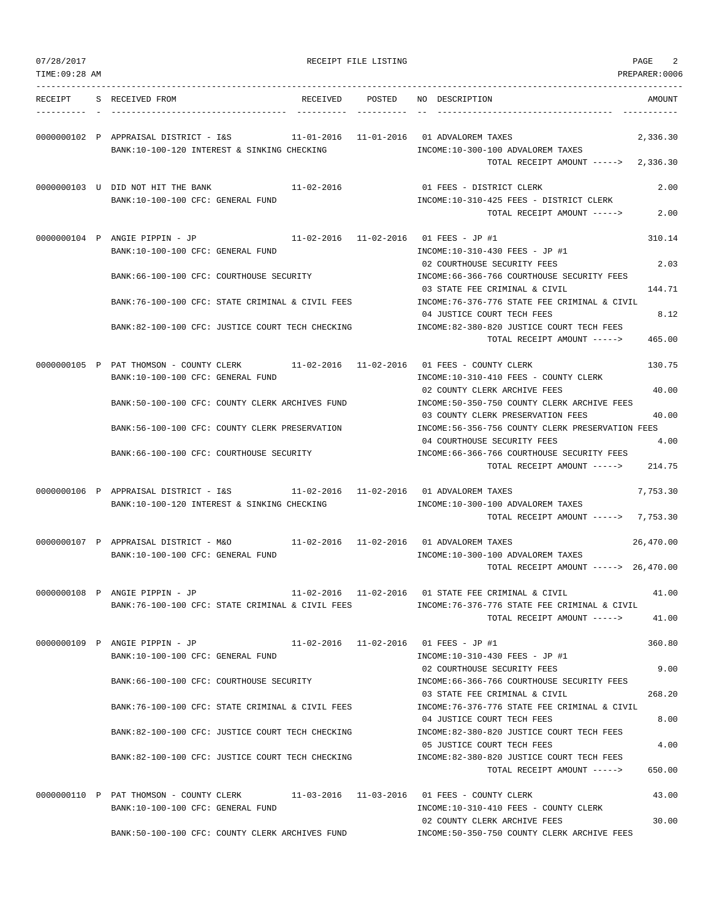|  | 07/28/2017 |  |
|--|------------|--|
|  |            |  |
|  |            |  |

RECEIPT FILE LISTING **EXECUTE A SECURE 2** 

TIME:09:28 AM PREPARER:0006 --------------------------------------------------------------------------------------------------------------------------------- RECEIPT S RECEIVED FROM THE RECEIVED POSTED NO DESCRIPTION THE RECEIVED AMOUNT ---------- - ----------------------------------- ---------- ---------- -- ----------------------------------- ----------- 0000000102 P APPRAISAL DISTRICT - I&S 11-01-2016 11-01-2016 01 ADVALOREM TAXES 2,336.30 BANK:10-100-120 INTEREST & SINKING CHECKING **INCOME:10-300-100 ADVALOREM TAXES** TOTAL RECEIPT AMOUNT -----> 2,336.30 0000000103 U DID NOT HIT THE BANK 11-02-2016 01 FEES - DISTRICT CLERK 2.00 BANK:10-100-100 CFC: GENERAL FUND INCOME:10-310-425 FEES - DISTRICT CLERK TOTAL RECEIPT AMOUNT -----> 2.00 0000000104 P ANGIE PIPPIN - JP 11-02-2016 11-02-2016 01 FEES - JP #1 310.14 BANK:10-100-100 CFC: GENERAL FUND INCOME:10-310-430 FEES - JP #1 02 COURTHOUSE SECURITY FEES 2.03 BANK:66-100-100 CFC: COURTHOUSE SECURITY INCOME:66-366-766 COURTHOUSE SECURITY FEES 03 STATE FEE CRIMINAL & CIVIL 144.71 BANK:76-100-100 CFC: STATE CRIMINAL & CIVIL FEES INCOME:76-376-776 STATE FEE CRIMINAL & CIVIL 04 JUSTICE COURT TECH FEES 8.12 BANK:82-100-100 CFC: JUSTICE COURT TECH CHECKING INCOME:82-380-820 JUSTICE COURT TECH FEES TOTAL RECEIPT AMOUNT -----> 465.00 0000000105 P PAT THOMSON - COUNTY CLERK 11-02-2016 11-02-2016 01 FEES - COUNTY CLERK 130.75 BANK:10-100-100 CFC: GENERAL FUND **INCOME:10-310-410 FEES - COUNTY CLERK** 02 COUNTY CLERK ARCHIVE FEES 40.00 BANK:50-100-100 CFC: COUNTY CLERK ARCHIVES FUND INCOME:50-350-750 COUNTY CLERK ARCHIVE FEES 03 COUNTY CLERK PRESERVATION FEES 40.00 BANK:56-100-100 CFC: COUNTY CLERK PRESERVATION INCOME:56-356-756 COUNTY CLERK PRESERVATION FEES 04 COURTHOUSE SECURITY FEES 4.00 BANK:66-100-100 CFC: COURTHOUSE SECURITY INCOME:66-366-766 COURTHOUSE SECURITY FEES TOTAL RECEIPT AMOUNT -----> 214.75 0000000106 P APPRAISAL DISTRICT - I&S 11-02-2016 11-02-2016 01 ADVALOREM TAXES 7,753.30 BANK:10-100-120 INTEREST & SINKING CHECKING INCOME:10-300-100 ADVALOREM TAXES TOTAL RECEIPT AMOUNT -----> 7,753.30 0000000107 P APPRAISAL DISTRICT - M&O 11-02-2016 11-02-2016 01 ADVALOREM TAXES 26,470.00 BANK:10-100-100 CFC: GENERAL FUND **INCOME:10-300-100 ADVALOREM TAXES** TOTAL RECEIPT AMOUNT -----> 26,470.00 0000000108 P ANGIE PIPPIN - JP 11-02-2016 11-02-2016 01 STATE FEE CRIMINAL & CIVIL 41.00 BANK:76-100-100 CFC: STATE CRIMINAL & CIVIL FEES INCOME:76-376-776 STATE FEE CRIMINAL & CIVIL TOTAL RECEIPT AMOUNT -----> 41.00 0000000109 P ANGIE PIPPIN - JP 11-02-2016 11-02-2016 01 FEES - JP #1 360.80 BANK:10-100-100 CFC: GENERAL FUND INCOME:10-310-430 FEES - JP #1 02 COURTHOUSE SECURITY FEES 9.00 BANK:66-100-100 CFC: COURTHOUSE SECURITY INCOME:66-366-766 COURTHOUSE SECURITY FEES 03 STATE FEE CRIMINAL & CIVIL 268.20 BANK:76-100-100 CFC: STATE CRIMINAL & CIVIL FEES INCOME:76-376-776 STATE FEE CRIMINAL & CIVIL 04 JUSTICE COURT TECH FEES 8.00 BANK:82-100-100 CFC: JUSTICE COURT TECH CHECKING INCOME:82-380-820 JUSTICE COURT TECH FEES 05 JUSTICE COURT TECH FEES 4.00 BANK:82-100-100 CFC: JUSTICE COURT TECH CHECKING INCOME:82-380-820 JUSTICE COURT TECH FEES  $TOTAI$ , RECEIPT AMOUNT  $---$ > 650.00 0000000110 P PAT THOMSON - COUNTY CLERK 11-03-2016 11-03-2016 01 FEES - COUNTY CLERK 43.00 BANK:10-100-100 CFC: GENERAL FUND INCOME:10-310-410 FEES - COUNTY CLERK 02 COUNTY CLERK ARCHIVE FEES 30.00 BANK:50-100-100 CFC: COUNTY CLERK ARCHIVES FUND INCOME:50-350-750 COUNTY CLERK ARCHIVE FEES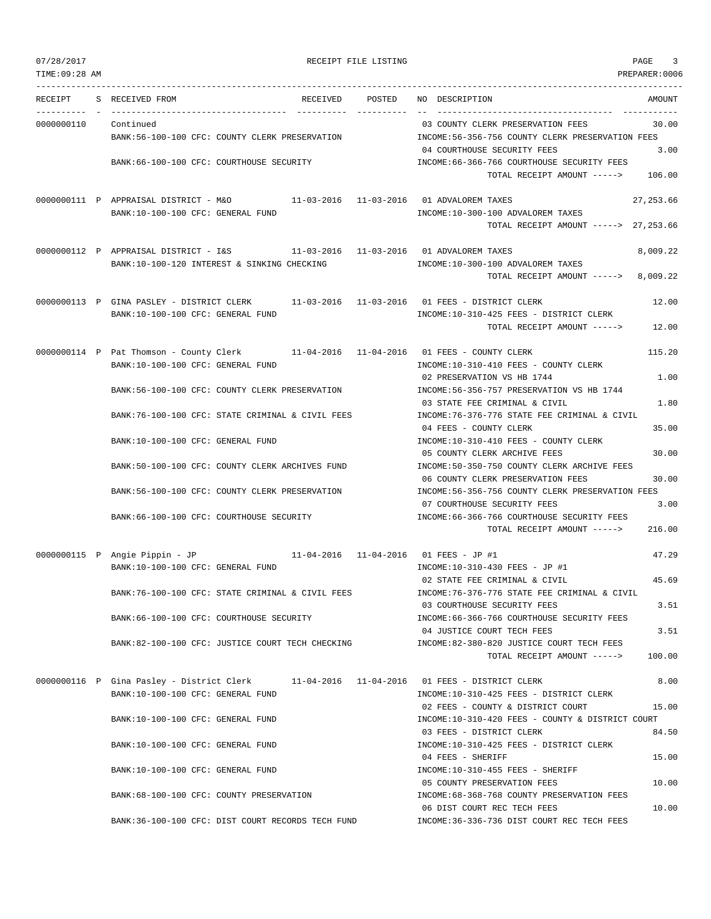|  | 07/28/2017 |  |
|--|------------|--|

| 07/28/2017           | RECEIPT FILE LISTING                                                                     |                                                                                       | PAGE<br>3      |
|----------------------|------------------------------------------------------------------------------------------|---------------------------------------------------------------------------------------|----------------|
| TIME: 09:28 AM       |                                                                                          |                                                                                       | PREPARER: 0006 |
| RECEIPT              | RECEIVED POSTED<br>S RECEIVED FROM                                                       | NO DESCRIPTION                                                                        | AMOUNT         |
| 0000000110 Continued |                                                                                          | 03 COUNTY CLERK PRESERVATION FEES                                                     | 30.00          |
|                      | BANK:56-100-100 CFC: COUNTY CLERK PRESERVATION                                           | INCOME:56-356-756 COUNTY CLERK PRESERVATION FEES                                      |                |
|                      |                                                                                          | 04 COURTHOUSE SECURITY FEES                                                           | 3.00           |
|                      | BANK:66-100-100 CFC: COURTHOUSE SECURITY                                                 | INCOME:66-366-766 COURTHOUSE SECURITY FEES                                            |                |
|                      |                                                                                          | TOTAL RECEIPT AMOUNT -----> 106.00                                                    |                |
|                      | 0000000111 P APPRAISAL DISTRICT - M&O 11-03-2016 11-03-2016 01 ADVALOREM TAXES           |                                                                                       | 27,253.66      |
|                      | BANK:10-100-100 CFC: GENERAL FUND                                                        | INCOME:10-300-100 ADVALOREM TAXES                                                     |                |
|                      |                                                                                          | TOTAL RECEIPT AMOUNT -----> 27,253.66                                                 |                |
|                      | 0000000112 P APPRAISAL DISTRICT - I&S 11-03-2016 11-03-2016 01 ADVALOREM TAXES           |                                                                                       | 8,009.22       |
|                      | BANK:10-100-120 INTEREST & SINKING CHECKING                                              | INCOME:10-300-100 ADVALOREM TAXES                                                     |                |
|                      |                                                                                          | TOTAL RECEIPT AMOUNT -----> 8,009.22                                                  |                |
|                      | 0000000113 P GINA PASLEY - DISTRICT CLERK                                                |                                                                                       | 12.00          |
|                      | BANK:10-100-100 CFC: GENERAL FUND                                                        | INCOME:10-310-425 FEES - DISTRICT CLERK                                               |                |
|                      |                                                                                          | TOTAL RECEIPT AMOUNT -----> 12.00                                                     |                |
|                      | 0000000114 P Pat Thomson - County Clerk 11-04-2016 11-04-2016 01 FEES - COUNTY CLERK     |                                                                                       | 115.20         |
|                      | BANK:10-100-100 CFC: GENERAL FUND                                                        | INCOME:10-310-410 FEES - COUNTY CLERK                                                 |                |
|                      |                                                                                          | 02 PRESERVATION VS HB 1744                                                            | 1.00           |
|                      | BANK:56-100-100 CFC: COUNTY CLERK PRESERVATION                                           | INCOME: 56-356-757 PRESERVATION VS HB 1744                                            |                |
|                      |                                                                                          | 03 STATE FEE CRIMINAL & CIVIL                                                         | 1.80           |
|                      | BANK:76-100-100 CFC: STATE CRIMINAL & CIVIL FEES                                         | INCOME: 76-376-776 STATE FEE CRIMINAL & CIVIL                                         |                |
|                      | BANK:10-100-100 CFC: GENERAL FUND                                                        | 04 FEES - COUNTY CLERK<br>INCOME:10-310-410 FEES - COUNTY CLERK                       | 35.00          |
|                      |                                                                                          | 05 COUNTY CLERK ARCHIVE FEES                                                          | 30.00          |
|                      | BANK:50-100-100 CFC: COUNTY CLERK ARCHIVES FUND                                          | INCOME:50-350-750 COUNTY CLERK ARCHIVE FEES                                           |                |
|                      |                                                                                          | 06 COUNTY CLERK PRESERVATION FEES                                                     | 30.00          |
|                      | BANK:56-100-100 CFC: COUNTY CLERK PRESERVATION                                           | INCOME:56-356-756 COUNTY CLERK PRESERVATION FEES                                      |                |
|                      |                                                                                          | 07 COURTHOUSE SECURITY FEES<br>INCOME: 66-366-766 COURTHOUSE SECURITY FEES            | 3.00           |
|                      | BANK:66-100-100 CFC: COURTHOUSE SECURITY                                                 | TOTAL RECEIPT AMOUNT ----->                                                           | 216.00         |
|                      |                                                                                          |                                                                                       |                |
|                      | 0000000115 P Angie Pippin - JP 11-04-2016 11-04-2016 01 FEES - JP #1                     |                                                                                       | 47.29          |
|                      | BANK:10-100-100 CFC: GENERAL FUND                                                        | INCOME:10-310-430 FEES - JP #1<br>02 STATE FEE CRIMINAL & CIVIL                       | 45.69          |
|                      | BANK:76-100-100 CFC: STATE CRIMINAL & CIVIL FEES                                         | INCOME:76-376-776 STATE FEE CRIMINAL & CIVIL                                          |                |
|                      |                                                                                          | 03 COURTHOUSE SECURITY FEES                                                           | 3.51           |
|                      | BANK:66-100-100 CFC: COURTHOUSE SECURITY                                                 | INCOME: 66-366-766 COURTHOUSE SECURITY FEES                                           |                |
|                      |                                                                                          | 04 JUSTICE COURT TECH FEES                                                            | 3.51           |
|                      | BANK:82-100-100 CFC: JUSTICE COURT TECH CHECKING                                         | INCOME:82-380-820 JUSTICE COURT TECH FEES<br>TOTAL RECEIPT AMOUNT ----->              | 100.00         |
|                      |                                                                                          |                                                                                       |                |
|                      | 0000000116 P Gina Pasley - District Clerk 11-04-2016 11-04-2016 01 FEES - DISTRICT CLERK |                                                                                       | 8.00           |
|                      | BANK:10-100-100 CFC: GENERAL FUND                                                        | INCOME:10-310-425 FEES - DISTRICT CLERK                                               |                |
|                      |                                                                                          | 02 FEES - COUNTY & DISTRICT COURT<br>INCOME:10-310-420 FEES - COUNTY & DISTRICT COURT | 15.00          |
|                      | BANK:10-100-100 CFC: GENERAL FUND                                                        | 03 FEES - DISTRICT CLERK                                                              | 84.50          |
|                      | BANK:10-100-100 CFC: GENERAL FUND                                                        | INCOME:10-310-425 FEES - DISTRICT CLERK                                               |                |
|                      |                                                                                          | 04 FEES - SHERIFF                                                                     | 15.00          |
|                      | BANK:10-100-100 CFC: GENERAL FUND                                                        | INCOME:10-310-455 FEES - SHERIFF                                                      |                |
|                      |                                                                                          | 05 COUNTY PRESERVATION FEES                                                           | 10.00          |
|                      | BANK:68-100-100 CFC: COUNTY PRESERVATION                                                 | INCOME: 68-368-768 COUNTY PRESERVATION FEES                                           |                |
|                      | BANK:36-100-100 CFC: DIST COURT RECORDS TECH FUND                                        | 06 DIST COURT REC TECH FEES<br>INCOME: 36-336-736 DIST COURT REC TECH FEES            | 10.00          |
|                      |                                                                                          |                                                                                       |                |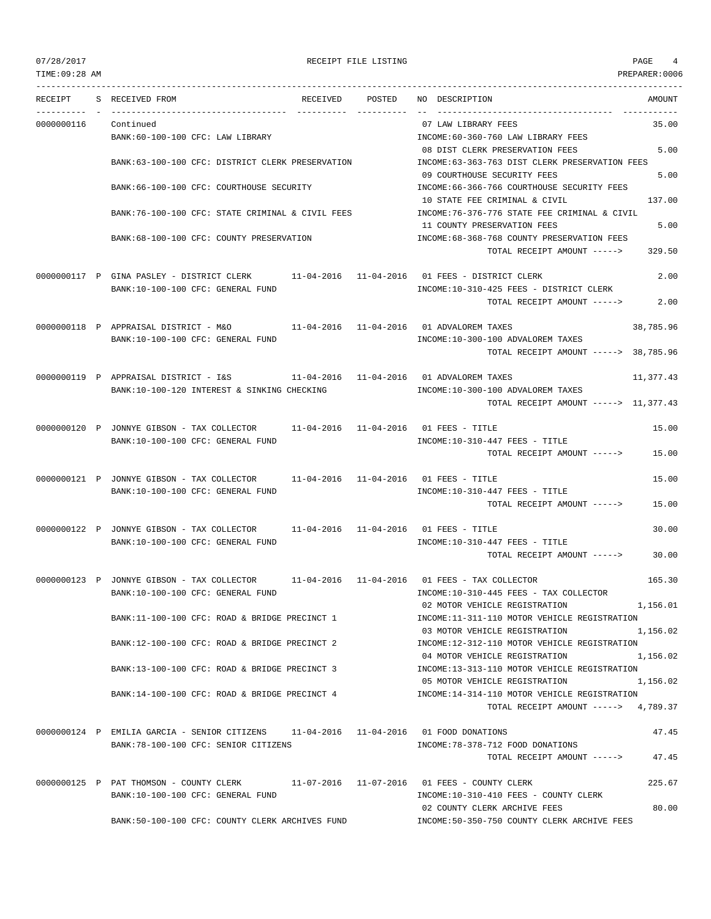# 07/28/2017 RECEIPT FILE LISTING PAGE 4

--------------------------------------------------------------------------------------------------------------------------------- RECEIPT S RECEIVED FROM RECEIVED POSTED NO DESCRIPTION AMOUNT ---------- - ----------------------------------- ---------- ---------- -- ----------------------------------- ----------- 0000000116 Continued 07 LAW LIBRARY FEES 35.00 BANK:60-100-100 CFC: LAW LIBRARY INCOME:60-360-760 LAW LIBRARY FEES 08 DIST CLERK PRESERVATION FEES 5.00 BANK:63-100-100 CFC: DISTRICT CLERK PRESERVATION INCOME:63-363-763 DIST CLERK PRESERVATION FEES 09 COURTHOUSE SECURITY FEES 5.00 BANK:66-100-100 CFC: COURTHOUSE SECURITY INCOME:66-366-766 COURTHOUSE SECURITY FEES 10 STATE FEE CRIMINAL & CIVIL 137.00 BANK:76-100-100 CFC: STATE CRIMINAL & CIVIL FEES INCOME:76-376-776 STATE FEE CRIMINAL & CIVIL 11 COUNTY PRESERVATION FEES 5.00 BANK:68-100-100 CFC: COUNTY PRESERVATION INCOME:68-368-768 COUNTY PRESERVATION FEES TOTAL RECEIPT AMOUNT -----> 329.50 0000000117 P GINA PASLEY - DISTRICT CLERK 11-04-2016 11-04-2016 01 FEES - DISTRICT CLERK 2.00 BANK:10-100-100 CFC: GENERAL FUND INCOME:10-310-425 FEES - DISTRICT CLERK TOTAL RECEIPT AMOUNT -----> 2.00 0000000118 P APPRAISAL DISTRICT - M&O 11-04-2016 11-04-2016 01 ADVALOREM TAXES 38,785.96 BANK:10-100-100 CFC: GENERAL FUND **INCOME:10-300-100 ADVALOREM TAXES** TOTAL RECEIPT AMOUNT -----> 38,785.96 0000000119 P APPRAISAL DISTRICT - I&S  $11-04-2016$  11-04-2016 01 ADVALOREM TAXES  $11,377.43$ BANK:10-100-120 INTEREST & SINKING CHECKING **INCOME:10-300-100 ADVALOREM TAXES** TOTAL RECEIPT AMOUNT -----> 11,377.43 0000000120 P JONNYE GIBSON - TAX COLLECTOR 11-04-2016 11-04-2016 01 FEES - TITLE 15.00 BANK:10-100-100 CFC: GENERAL FUND **INCOME:10-310-447 FEES - TITLE** TOTAL RECEIPT AMOUNT -----> 15.00 0000000121 P JONNYE GIBSON - TAX COLLECTOR 11-04-2016 11-04-2016 01 FEES - TITLE 15.00 BANK:10-100-100 CFC: GENERAL FUND INCOME:10-310-447 FEES - TITLE TOTAL RECEIPT AMOUNT -----> 15.00 0000000122 P JONNYE GIBSON - TAX COLLECTOR 11-04-2016 11-04-2016 01 FEES - TITLE 30.00 BANK:10-100-100 CFC: GENERAL FUND **INCOME:10-310-447 FEES** - TITLE TOTAL RECEIPT AMOUNT -----> 30.00 0000000123 P JONNYE GIBSON - TAX COLLECTOR 11-04-2016 11-04-2016 01 FEES - TAX COLLECTOR 165.30 BANK:10-100-100 CFC: GENERAL FUND INCOME:10-310-445 FEES - TAX COLLECTOR 02 MOTOR VEHICLE REGISTRATION 1,156.01 BANK:11-100-100 CFC: ROAD & BRIDGE PRECINCT 1 INCOME:11-311-110 MOTOR VEHICLE REGISTRATION 03 MOTOR VEHICLE REGISTRATION 1,156.02 BANK:12-100-100 CFC: ROAD & BRIDGE PRECINCT 2 INCOME:12-312-110 MOTOR VEHICLE REGISTRATION 04 MOTOR VEHICLE REGISTRATION 1,156.02 BANK:13-100-100 CFC: ROAD & BRIDGE PRECINCT 3 INCOME:13-313-110 MOTOR VEHICLE REGISTRATION 05 MOTOR VEHICLE REGISTRATION 1,156.02 BANK:14-100-100 CFC: ROAD & BRIDGE PRECINCT 4 INCOME:14-314-110 MOTOR VEHICLE REGISTRATION TOTAL RECEIPT AMOUNT  $--- 2$  4,789,37 0000000124 P EMILIA GARCIA - SENIOR CITIZENS 11-04-2016 11-04-2016 01 FOOD DONATIONS 47.45 BANK:78-100-100 CFC: SENIOR CITIZENS INCOME:78-378-712 FOOD DONATIONS TOTAL RECEIPT AMOUNT -----> 47.45 0000000125 P PAT THOMSON - COUNTY CLERK 11-07-2016 11-07-2016 01 FEES - COUNTY CLERK 225.67 BANK:10-100-100 CFC: GENERAL FUND INCOME:10-310-410 FEES - COUNTY CLERK 02 COUNTY CLERK ARCHIVE FEES 80.00 BANK:50-100-100 CFC: COUNTY CLERK ARCHIVES FUND INCOME:50-350-750 COUNTY CLERK ARCHIVE FEES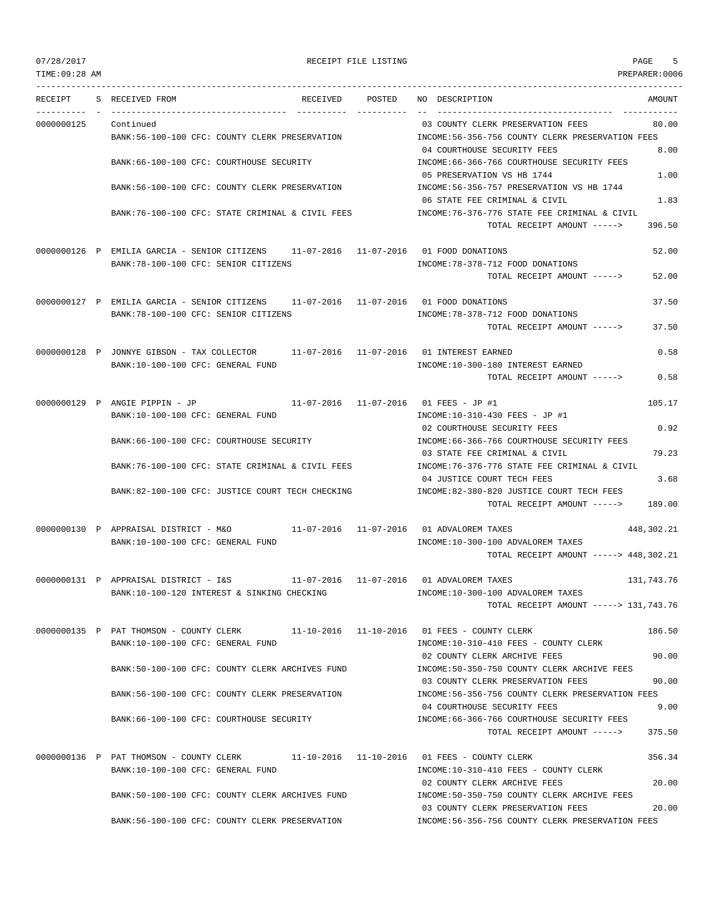## 07/28/2017 RECEIPT FILE LISTING PAGE 5

--------------------------------------------------------------------------------------------------------------------------------- RECEIPT S RECEIVED FROM THE RECEIVED POSTED NO DESCRIPTION THE RECEIVED AMOUNT ---------- - ----------------------------------- ---------- ---------- -- ----------------------------------- ----------- 0000000125 Continued 03 COUNTY CLERK PRESERVATION FEES 80.00 BANK:56-100-100 CFC: COUNTY CLERK PRESERVATION INCOME:56-356-756 COUNTY CLERK PRESERVATION FEES 04 COURTHOUSE SECURITY FEES 8.00 BANK:66-100-100 CFC: COURTHOUSE SECURITY INCOME:66-366-766 COURTHOUSE SECURITY FEES 05 PRESERVATION VS HB 1744 2002 1.00 BANK:56-100-100 CFC: COUNTY CLERK PRESERVATION INCOME:56-356-757 PRESERVATION VS HB 1744 06 STATE FEE CRIMINAL & CIVIL 2006 2012 1.83 BANK:76-100-100 CFC: STATE CRIMINAL & CIVIL FEES INCOME:76-376-776 STATE FEE CRIMINAL & CIVIL TOTAL RECEIPT AMOUNT -----> 396.50 0000000126 P EMILIA GARCIA - SENIOR CITIZENS 11-07-2016 11-07-2016 01 FOOD DONATIONS 52.00 BANK:78-100-100 CFC: SENIOR CITIZENS INCOME:78-378-712 FOOD DONATIONS TOTAL RECEIPT AMOUNT -----> 52.00 0000000127 P EMILIA GARCIA - SENIOR CITIZENS 11-07-2016 11-07-2016 01 FOOD DONATIONS 37.50 BANK:78-100-100 CFC: SENIOR CITIZENS INCOME:78-378-712 FOOD DONATIONS TOTAL RECEIPT AMOUNT -----> 37.50 0000000128 P JONNYE GIBSON - TAX COLLECTOR 11-07-2016 11-07-2016 01 INTEREST EARNED 0.58 BANK:10-100-100 CFC: GENERAL FUND INCOME:10-300-180 INTEREST EARNED TOTAL RECEIPT AMOUNT -----> 0.58 0000000129 P ANGIE PIPPIN - JP 11-07-2016 11-07-2016 01 FEES - JP #1 105.17 BANK:10-100-100 CFC: GENERAL FUND **INCOME:10-310-430 FEES** - JP #1 02 COURTHOUSE SECURITY FEES 0.92 BANK:66-100-100 CFC: COURTHOUSE SECURITY INCOME:66-366-766 COURTHOUSE SECURITY FEES 03 STATE FEE CRIMINAL & CIVIL 79.23 BANK:76-100-100 CFC: STATE CRIMINAL & CIVIL FEES INCOME:76-376-776 STATE FEE CRIMINAL & CIVIL 04 JUSTICE COURT TECH FEES 3.68 BANK:82-100-100 CFC: JUSTICE COURT TECH CHECKING INCOME:82-380-820 JUSTICE COURT TECH FEES TOTAL RECEIPT AMOUNT -----> 189.00 0000000130 P APPRAISAL DISTRICT - M&O 11-07-2016 11-07-2016 01 ADVALOREM TAXES 448,302.21 BANK:10-100-100 CFC: GENERAL FUND **INCOME:10-300-100 ADVALOREM TAXES** TOTAL RECEIPT AMOUNT -----> 448,302.21 0000000131 P APPRAISAL DISTRICT - I&S 11-07-2016 11-07-2016 01 ADVALOREM TAXES 131,743.76 BANK:10-100-120 INTEREST & SINKING CHECKING INCOME:10-300-100 ADVALOREM TAXES TOTAL RECEIPT AMOUNT -----> 131,743.76 0000000135 P PAT THOMSON - COUNTY CLERK 11-10-2016 11-10-2016 01 FEES - COUNTY CLERK 186.50 BANK:10-100-100 CFC: GENERAL FUND INCOME:10-310-410 FEES - COUNTY CLERK 02 COUNTY CLERK ARCHIVE FEES 90.00 BANK:50-100-100 CFC: COUNTY CLERK ARCHIVES FUND INCOME:50-350-750 COUNTY CLERK ARCHIVE FEES 03 COUNTY CLERK PRESERVATION FEES 90.00 BANK:56-100-100 CFC: COUNTY CLERK PRESERVATION INCOME:56-356-756 COUNTY CLERK PRESERVATION FEES 04 COURTHOUSE SECURITY FEES 9.00 BANK:66-100-100 CFC: COURTHOUSE SECURITY **INCOME:66-366-766 COURTHOUSE SECURITY FEES** TOTAL RECEIPT AMOUNT -----> 375.50 0000000136 P PAT THOMSON - COUNTY CLERK 11-10-2016 11-10-2016 01 FEES - COUNTY CLERK 356.34 BANK:10-100-100 CFC: GENERAL FUND INCOME:10-310-410 FEES - COUNTY CLERK 02 COUNTY CLERK ARCHIVE FEES 20.00 BANK:50-100-100 CFC: COUNTY CLERK ARCHIVES FUND INCOME:50-350-750 COUNTY CLERK ARCHIVE FEES 03 COUNTY CLERK PRESERVATION FEES 20.00 BANK:56-100-100 CFC: COUNTY CLERK PRESERVATION INCOME:56-356-756 COUNTY CLERK PRESERVATION FEES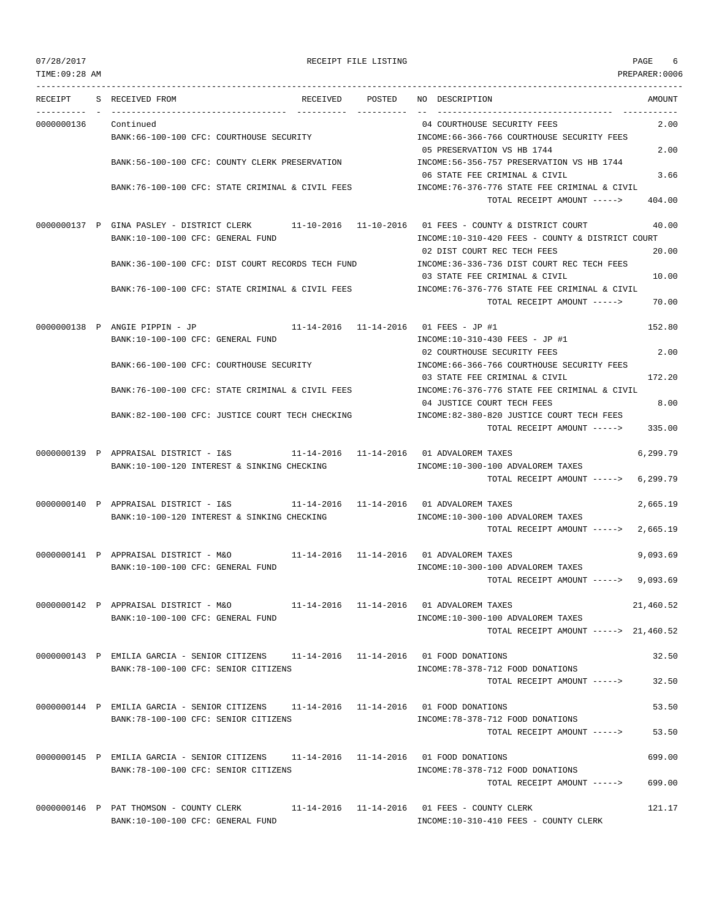### 07/28/2017 RECEIPT FILE LISTING PAGE 6

--------------------------------------------------------------------------------------------------------------------------------- RECEIPT S RECEIVED FROM RECEIVED POSTED NO DESCRIPTION AMOUNT ---------- - ----------------------------------- ---------- ---------- -- ----------------------------------- ----------- 0000000136 Continued 04 COURTHOUSE SECURITY FEES 2.00 BANK:66-100-100 CFC: COURTHOUSE SECURITY INCOME:66-366-766 COURTHOUSE SECURITY FEES 05 PRESERVATION VS HB 1744 2.00 BANK:56-100-100 CFC: COUNTY CLERK PRESERVATION INCOME:56-356-757 PRESERVATION VS HB 1744 06 STATE FEE CRIMINAL & CIVIL 3.66 BANK:76-100-100 CFC: STATE CRIMINAL & CIVIL FEES INCOME:76-376-776 STATE FEE CRIMINAL & CIVIL TOTAL RECEIPT AMOUNT -----> 404.00 0000000137 P GINA PASLEY - DISTRICT CLERK 11-10-2016 11-10-2016 01 FEES - COUNTY & DISTRICT COURT 40.00 BANK:10-100-100 CFC: GENERAL FUND INCOME:10-310-420 FEES - COUNTY & DISTRICT COURT 02 DIST COURT REC TECH FEES 20.00 BANK:36-100-100 CFC: DIST COURT RECORDS TECH FUND INCOME:36-336-736 DIST COURT REC TECH FEES 03 STATE FEE CRIMINAL & CIVIL 10.00 BANK:76-100-100 CFC: STATE CRIMINAL & CIVIL FEES INCOME:76-376-776 STATE FEE CRIMINAL & CIVIL TOTAL RECEIPT AMOUNT -----> 70.00 0000000138 P ANGIE PIPPIN - JP 11-14-2016 11-14-2016 01 FEES - JP #1 152.80 BANK:10-100-100 CFC: GENERAL FUND INCOME:10-310-430 FEES - JP #1 02 COURTHOUSE SECURITY FEES 2.00 BANK:66-100-100 CFC: COURTHOUSE SECURITY INCOME:66-366-766 COURTHOUSE SECURITY FEES 03 STATE FEE CRIMINAL & CIVIL 172.20 BANK:76-100-100 CFC: STATE CRIMINAL & CIVIL FEES INCOME:76-376-776 STATE FEE CRIMINAL & CIVIL 04 JUSTICE COURT TECH FEES 8.00 BANK:82-100-100 CFC: JUSTICE COURT TECH CHECKING INCOME:82-380-820 JUSTICE COURT TECH FEES TOTAL RECEIPT AMOUNT -----> 335.00 0000000139 P APPRAISAL DISTRICT - I&S 11-14-2016 11-14-2016 01 ADVALOREM TAXES 6,299.79 BANK:10-100-120 INTEREST & SINKING CHECKING  $INCOME:10-300-100$  ADVALOREM TAXES TOTAL RECEIPT AMOUNT -----> 6,299.79 0000000140 P APPRAISAL DISTRICT - I&S 11-14-2016 11-14-2016 01 ADVALOREM TAXES 2,665.19 BANK:10-100-120 INTEREST & SINKING CHECKING **INCOME:10-300-100 ADVALOREM TAXES** TOTAL RECEIPT AMOUNT -----> 2,665.19 0000000141 P APPRAISAL DISTRICT - M&O 11-14-2016 11-14-2016 01 ADVALOREM TAXES 9,093.69 BANK:10-100-100 CFC: GENERAL FUND **INCOME:10-300-100 ADVALOREM TAXES** TOTAL RECEIPT AMOUNT -----> 9,093.69 0000000142 P APPRAISAL DISTRICT - M&O 11-14-2016 11-14-2016 01 ADVALOREM TAXES 21,460.52 BANK:10-100-100 CFC: GENERAL FUND INCOME:10-300-100 ADVALOREM TAXES TOTAL RECEIPT AMOUNT -----> 21,460.52 0000000143 P EMILIA GARCIA - SENIOR CITIZENS 11-14-2016 11-14-2016 01 FOOD DONATIONS 32.50 BANK:78-100-100 CFC: SENIOR CITIZENS INCOME:78-378-712 FOOD DONATIONS TOTAL RECEIPT AMOUNT -----> 32.50 0000000144 P EMILIA GARCIA - SENIOR CITIZENS 11-14-2016 11-14-2016 01 FOOD DONATIONS 53.50 BANK:78-100-100 CFC: SENIOR CITIZENS INCOME:78-378-712 FOOD DONATIONS TOTAL RECEIPT AMOUNT -----> 53.50 0000000145 P EMILIA GARCIA - SENIOR CITIZENS 11-14-2016 11-14-2016 01 FOOD DONATIONS 699.00 BANK:78-100-100 CFC: SENIOR CITIZENS INCOME:78-378-712 FOOD DONATIONS TOTAL RECEIPT AMOUNT -----> 699.00 0000000146 P PAT THOMSON - COUNTY CLERK 11-14-2016 11-14-2016 01 FEES - COUNTY CLERK 121.17

BANK:10-100-100 CFC: GENERAL FUND INCOME:10-310-410 FEES - COUNTY CLERK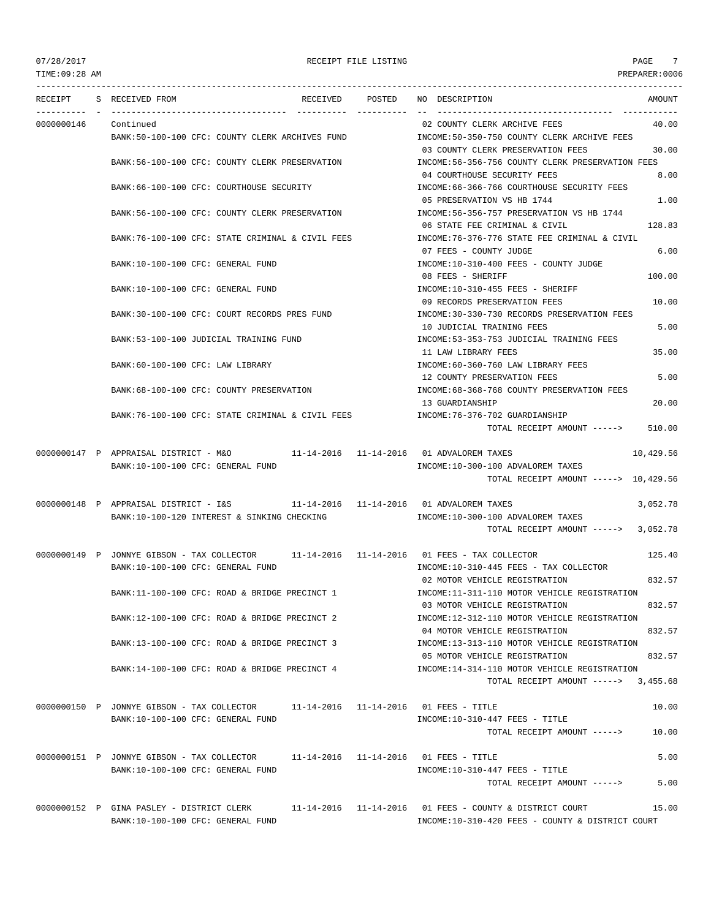TIME:09:28 AM PREPARER:0006 --------------------------------------------------------------------------------------------------------------------------------- RECEIPT S RECEIVED FROM THE RECEIVED POSTED NO DESCRIPTION THE RECEIVED AMOUNT ---------- - ----------------------------------- ---------- ---------- -- ----------------------------------- ----------- 0000000146 Continued 02 COUNTY CLERK ARCHIVE FEES 40.00 BANK:50-100-100 CFC: COUNTY CLERK ARCHIVES FUND INCOME:50-350-750 COUNTY CLERK ARCHIVE FEES 03 COUNTY CLERK PRESERVATION FEES 30.00 BANK:56-100-100 CFC: COUNTY CLERK PRESERVATION INCOME:56-356-756 COUNTY CLERK PRESERVATION FEES 04 COURTHOUSE SECURITY FEES 8.00 BANK:66-100-100 CFC: COURTHOUSE SECURITY INCOME:66-366-766 COURTHOUSE SECURITY FEES 05 PRESERVATION VS HB 1744 2000 1.00 BANK:56-100-100 CFC: COUNTY CLERK PRESERVATION INCOME:56-356-757 PRESERVATION VS HB 1744 06 STATE FEE CRIMINAL & CIVIL 128.83 BANK:76-100-100 CFC: STATE CRIMINAL & CIVIL FEES INCOME:76-376-776 STATE FEE CRIMINAL & CIVIL 07 FEES - COUNTY JUDGE 6.00 BANK:10-100-100 CFC: GENERAL FUND SALL AND STRUCTURE:10-310-400 FEES - COUNTY JUDGE 08 FEES - SHERIFF 100.00 BANK:10-100-100 CFC: GENERAL FUND INCOME:10-310-455 FEES - SHERIFF 09 RECORDS PRESERVATION FEES 10.00 BANK:30-100-100 CFC: COURT RECORDS PRES FUND INCOME:30-330-730 RECORDS PRESERVATION FEES 10 JUDICIAL TRAINING FEES 5.00 BANK:53-100-100 JUDICIAL TRAINING FUND INCOME:53-353-753 JUDICIAL TRAINING FEES 11 LAW LIBRARY FEES 35.00 BANK:60-100-100 CFC: LAW LIBRARY INCOME:60-360-760 LAW LIBRARY FEES 12 COUNTY PRESERVATION FEES 5.00 BANK:68-100-100 CFC: COUNTY PRESERVATION INCOME:68-368-768 COUNTY PRESERVATION FEES 13 GUARDIANSHIP 20.00 BANK:76-100-100 CFC: STATE CRIMINAL & CIVIL FEES INCOME:76-376-702 GUARDIANSHIP TOTAL RECEIPT AMOUNT -----> 510.00 0000000147 P APPRAISAL DISTRICT - M&O 11-14-2016 11-14-2016 01 ADVALOREM TAXES 10,429.56 BANK:10-100-100 CFC: GENERAL FUND **INCOME:10-300-100 ADVALOREM TAXES** TOTAL RECEIPT AMOUNT -----> 10,429.56 0000000148 P APPRAISAL DISTRICT - I&S 11-14-2016 11-14-2016 01 ADVALOREM TAXES 3,052.78 BANK:10-100-120 INTEREST & SINKING CHECKING INCOME:10-300-100 ADVALOREM TAXES TOTAL RECEIPT AMOUNT -----> 3,052.78 0000000149 P JONNYE GIBSON - TAX COLLECTOR 11-14-2016 11-14-2016 01 FEES - TAX COLLECTOR 125.40 BANK:10-100-100 CFC: GENERAL FUND INCOME:10-310-445 FEES - TAX COLLECTOR 02 MOTOR VEHICLE REGISTRATION 832.57 BANK:11-100-100 CFC: ROAD & BRIDGE PRECINCT 1 INCOME:11-311-110 MOTOR VEHICLE REGISTRATION 03 MOTOR VEHICLE REGISTRATION 832.57 BANK:12-100-100 CFC: ROAD & BRIDGE PRECINCT 2 INCOME:12-312-110 MOTOR VEHICLE REGISTRATION 04 MOTOR VEHICLE REGISTRATION 832.57 BANK:13-100-100 CFC: ROAD & BRIDGE PRECINCT 3 INCOME:13-313-110 MOTOR VEHICLE REGISTRATION 05 MOTOR VEHICLE REGISTRATION 832.57 BANK:14-100-100 CFC: ROAD & BRIDGE PRECINCT 4 INCOME:14-314-110 MOTOR VEHICLE REGISTRATION TOTAL RECEIPT AMOUNT -----> 3.455.68 0000000150 P JONNYE GIBSON - TAX COLLECTOR 11-14-2016 11-14-2016 01 FEES - TITLE 10.00 BANK:10-100-100 CFC: GENERAL FUND **INCOME:10-310-447 FEES - TITLE** TOTAL RECEIPT AMOUNT -----> 10.00 0000000151 P JONNYE GIBSON - TAX COLLECTOR 11-14-2016 11-14-2016 01 FEES - TITLE 5.00 BANK:10-100-100 CFC: GENERAL FUND INCOME:10-310-447 FEES - TITLE TOTAL RECEIPT AMOUNT -----> 5.00 0000000152 P GINA PASLEY - DISTRICT CLERK 11-14-2016 11-14-2016 01 FEES - COUNTY & DISTRICT COURT 15.00 BANK:10-100-100 CFC: GENERAL FUND INCOME:10-310-420 FEES - COUNTY & DISTRICT COURT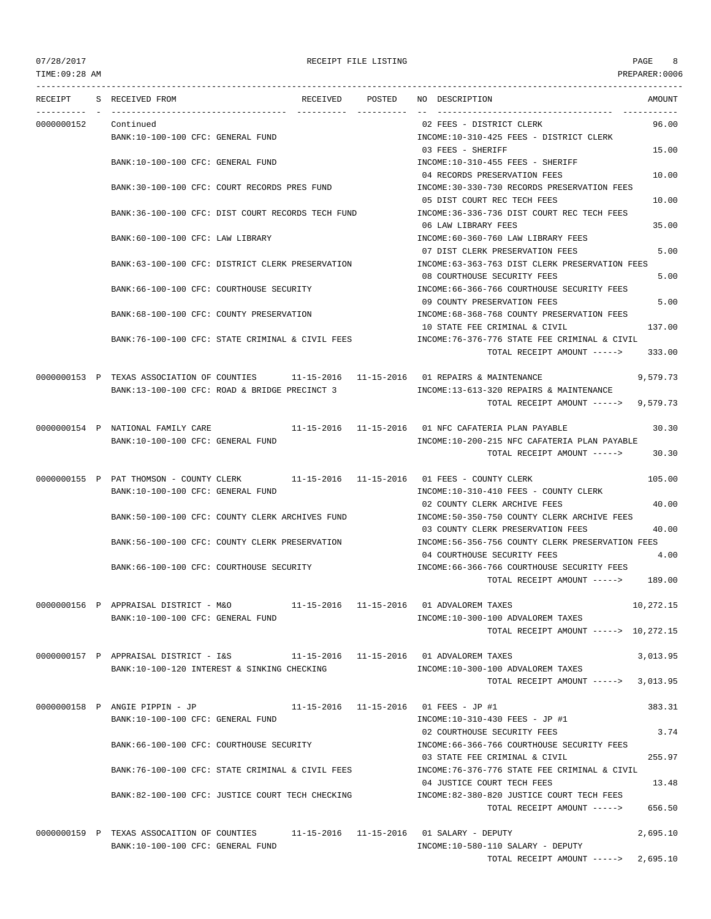TIME:09:28 AM PREPARER:0006 --------------------------------------------------------------------------------------------------------------------------------- RECEIPT S RECEIVED FROM THE RECEIVED POSTED NO DESCRIPTION THE RECEIVED AMOUNT ---------- - ----------------------------------- ---------- ---------- -- ----------------------------------- ----------- 0000000152 Continued 02 FEES - DISTRICT CLERK 96.00 BANK:10-100-100 CFC: GENERAL FUND **INCOME:10-310-425 FEES - DISTRICT CLERK** 03 FEES - SHERIFF 15.00 BANK:10-100-100 CFC: GENERAL FUND INCOME:10-310-455 FEES - SHERIFF 04 RECORDS PRESERVATION FEES 10.00 BANK:30-100-100 CFC: COURT RECORDS PRES FUND INCOME:30-330-730 RECORDS PRESERVATION FEES 05 DIST COURT REC TECH FEES 10.00 BANK:36-100-100 CFC: DIST COURT RECORDS TECH FUND INCOME:36-336-736 DIST COURT REC TECH FEES 06 LAW LIBRARY FEES 35.00 BANK:60-100-100 CFC: LAW LIBRARY INCOME:60-360-760 LAW LIBRARY FEES 07 DIST CLERK PRESERVATION FEES 5.00 BANK:63-100-100 CFC: DISTRICT CLERK PRESERVATION INCOME:63-363-763 DIST CLERK PRESERVATION FEES 08 COURTHOUSE SECURITY FEES 5.00 BANK:66-100-100 CFC: COURTHOUSE SECURITY INCOME:66-366-766 COURTHOUSE SECURITY FEES 09 COUNTY PRESERVATION FEES 600 BANK:68-100-100 CFC: COUNTY PRESERVATION INCOME:68-368-768 COUNTY PRESERVATION FEES 10 STATE FEE CRIMINAL & CIVIL 137.00 BANK:76-100-100 CFC: STATE CRIMINAL & CIVIL FEES INCOME:76-376-776 STATE FEE CRIMINAL & CIVIL TOTAL RECEIPT AMOUNT -----> 333.00 0000000153 P TEXAS ASSOCIATION OF COUNTIES 11-15-2016 11-15-2016 01 REPAIRS & MAINTENANCE 9,579.73 BANK:13-100-100 CFC: ROAD & BRIDGE PRECINCT 3 INCOME:13-613-320 REPAIRS & MAINTENANCE TOTAL RECEIPT AMOUNT -----> 9,579.73 0000000154 P NATIONAL FAMILY CARE 11-15-2016 11-15-2016 01 NFC CAFATERIA PLAN PAYABLE 30.30 BANK:10-100-100 CFC: GENERAL FUND INCOME:10-200-215 NFC CAFATERIA PLAN PAYABLE TOTAL RECEIPT AMOUNT -----> 30.30 0000000155 P PAT THOMSON - COUNTY CLERK 11-15-2016 11-15-2016 01 FEES - COUNTY CLERK 105.00 BANK:10-100-100 CFC: GENERAL FUND INCOME:10-310-410 FEES - COUNTY CLERK 02 COUNTY CLERK ARCHIVE FEES 40.00 BANK:50-100-100 CFC: COUNTY CLERK ARCHIVES FUND INCOME:50-350-750 COUNTY CLERK ARCHIVE FEES 03 COUNTY CLERK PRESERVATION FEES 40.00 BANK:56-100-100 CFC: COUNTY CLERK PRESERVATION INCOME:56-356-756 COUNTY CLERK PRESERVATION FEES 04 COURTHOUSE SECURITY FEES 4.00 BANK:66-100-100 CFC: COURTHOUSE SECURITY INCOME:66-366-766 COURTHOUSE SECURITY FEES TOTAL RECEIPT AMOUNT -----> 189.00 0000000156 P APPRAISAL DISTRICT - M&O 11-15-2016 11-15-2016 01 ADVALOREM TAXES 10,272.15 BANK:10-100-100 CFC: GENERAL FUND INCOME:10-300-100 ADVALOREM TAXES TOTAL RECEIPT AMOUNT -----> 10,272.15 0000000157 P APPRAISAL DISTRICT - I&S 11-15-2016 11-15-2016 01 ADVALOREM TAXES 3,013.95 BANK:10-100-120 INTEREST & SINKING CHECKING INCOME:10-300-100 ADVALOREM TAXES TOTAL RECEIPT AMOUNT -----> 3,013.95 0000000158 P ANGIE PIPPIN - JP 11-15-2016 11-15-2016 01 FEES - JP #1 383.31 BANK:10-100-100 CFC: GENERAL FUND INCOME:10-310-430 FEES - JP #1 02 COURTHOUSE SECURITY FEES 3.74 BANK:66-100-100 CFC: COURTHOUSE SECURITY INCOME:66-366-766 COURTHOUSE SECURITY FEES 03 STATE FEE CRIMINAL & CIVIL 255.97 BANK:76-100-100 CFC: STATE CRIMINAL & CIVIL FEES INCOME:76-376-776 STATE FEE CRIMINAL & CIVIL 04 JUSTICE COURT TECH FEES 13.48 BANK:82-100-100 CFC: JUSTICE COURT TECH CHECKING INCOME:82-380-820 JUSTICE COURT TECH FEES TOTAL RECEIPT AMOUNT -----> 656.50 0000000159 P TEXAS ASSOCAITION OF COUNTIES 11-15-2016 11-15-2016 01 SALARY - DEPUTY 2,695.10 BANK:10-100-100 CFC: GENERAL FUND INCOME:10-580-110 SALARY - DEPUTY

TOTAL RECEIPT AMOUNT -----> 2,695.10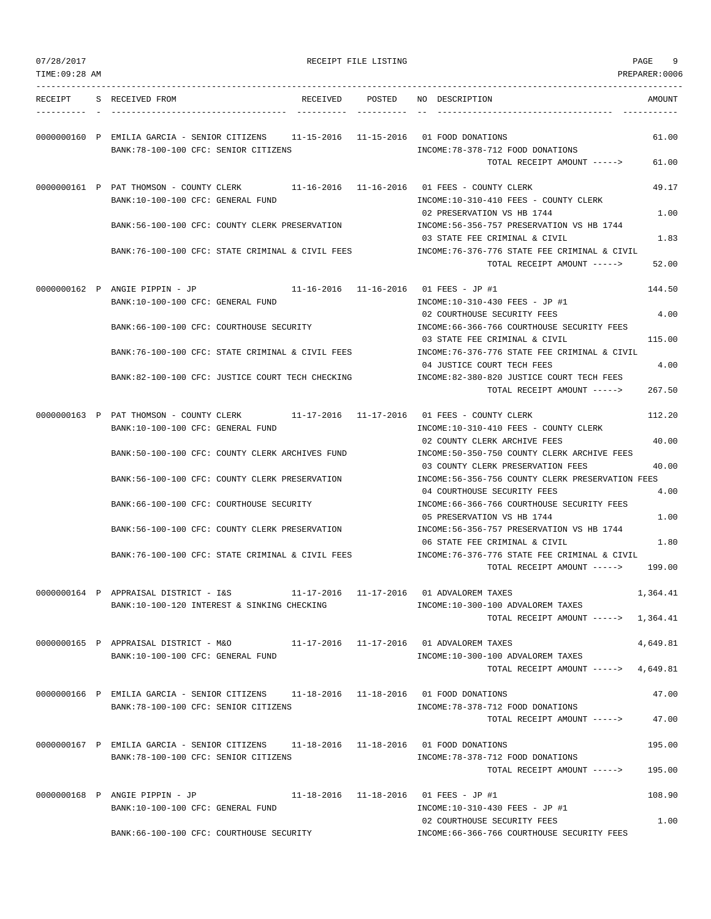| TIME: 09:28 AM |                                                                                                                               |          |                       |                                                                                                                   | PREPARER:0006  |
|----------------|-------------------------------------------------------------------------------------------------------------------------------|----------|-----------------------|-------------------------------------------------------------------------------------------------------------------|----------------|
| RECEIPT        | S RECEIVED FROM                                                                                                               | RECEIVED | POSTED                | NO DESCRIPTION                                                                                                    | AMOUNT         |
|                | 0000000160 P EMILIA GARCIA - SENIOR CITIZENS 11-15-2016 11-15-2016 01 FOOD DONATIONS<br>BANK: 78-100-100 CFC: SENIOR CITIZENS |          |                       | INCOME: 78-378-712 FOOD DONATIONS<br>TOTAL RECEIPT AMOUNT ----->                                                  | 61.00<br>61.00 |
|                | 0000000161 P PAT THOMSON - COUNTY CLERK 11-16-2016 11-16-2016 01 FEES - COUNTY CLERK                                          |          |                       |                                                                                                                   | 49.17          |
|                | BANK: 10-100-100 CFC: GENERAL FUND<br>BANK:56-100-100 CFC: COUNTY CLERK PRESERVATION                                          |          |                       | INCOME:10-310-410 FEES - COUNTY CLERK<br>02 PRESERVATION VS HB 1744<br>INCOME: 56-356-757 PRESERVATION VS HB 1744 | 1.00           |
|                |                                                                                                                               |          |                       | 03 STATE FEE CRIMINAL & CIVIL                                                                                     | 1.83           |
|                | BANK:76-100-100 CFC: STATE CRIMINAL & CIVIL FEES                                                                              |          |                       | INCOME:76-376-776 STATE FEE CRIMINAL & CIVIL<br>TOTAL RECEIPT AMOUNT ----->                                       | 52.00          |
|                | 0000000162 P ANGIE PIPPIN - JP<br>BANK:10-100-100 CFC: GENERAL FUND                                                           |          |                       | 11-16-2016  11-16-2016  01 FEES - JP #1<br>INCOME:10-310-430 FEES - JP #1                                         | 144.50         |
|                | BANK:66-100-100 CFC: COURTHOUSE SECURITY                                                                                      |          |                       | 02 COURTHOUSE SECURITY FEES<br>INCOME: 66-366-766 COURTHOUSE SECURITY FEES                                        | 4.00           |
|                |                                                                                                                               |          |                       | 03 STATE FEE CRIMINAL & CIVIL                                                                                     | 115.00         |
|                | BANK:76-100-100 CFC: STATE CRIMINAL & CIVIL FEES                                                                              |          |                       | INCOME: 76-376-776 STATE FEE CRIMINAL & CIVIL<br>04 JUSTICE COURT TECH FEES                                       | 4.00           |
|                | BANK:82-100-100 CFC: JUSTICE COURT TECH CHECKING                                                                              |          |                       | INCOME: 82-380-820 JUSTICE COURT TECH FEES<br>TOTAL RECEIPT AMOUNT ----->                                         | 267.50         |
|                | 0000000163 P PAT THOMSON - COUNTY CLERK                                                                                       |          |                       |                                                                                                                   | 112.20         |
|                | BANK:10-100-100 CFC: GENERAL FUND                                                                                             |          |                       | INCOME:10-310-410 FEES - COUNTY CLERK<br>02 COUNTY CLERK ARCHIVE FEES                                             | 40.00          |
|                | BANK:50-100-100 CFC: COUNTY CLERK ARCHIVES FUND                                                                               |          |                       | INCOME:50-350-750 COUNTY CLERK ARCHIVE FEES<br>03 COUNTY CLERK PRESERVATION FEES                                  | 40.00          |
|                | BANK:56-100-100 CFC: COUNTY CLERK PRESERVATION                                                                                |          |                       | INCOME:56-356-756 COUNTY CLERK PRESERVATION FEES<br>04 COURTHOUSE SECURITY FEES                                   | 4.00           |
|                | BANK: 66-100-100 CFC: COURTHOUSE SECURITY                                                                                     |          |                       | INCOME: 66-366-766 COURTHOUSE SECURITY FEES<br>05 PRESERVATION VS HB 1744                                         | 1.00           |
|                | BANK:56-100-100 CFC: COUNTY CLERK PRESERVATION                                                                                |          |                       | INCOME: 56-356-757 PRESERVATION VS HB 1744<br>06 STATE FEE CRIMINAL & CIVIL                                       | 1.80           |
|                | BANK:76-100-100 CFC: STATE CRIMINAL & CIVIL FEES                                                                              |          |                       | INCOME: 76-376-776 STATE FEE CRIMINAL & CIVIL                                                                     |                |
|                |                                                                                                                               |          |                       | TOTAL RECEIPT AMOUNT ----->                                                                                       | 199.00         |
|                | 0000000164 P APPRAISAL DISTRICT - I&S<br>BANK:10-100-120 INTEREST & SINKING CHECKING                                          |          | 11-17-2016 11-17-2016 | 01 ADVALOREM TAXES<br>INCOME:10-300-100 ADVALOREM TAXES                                                           | 1,364.41       |
|                |                                                                                                                               |          |                       | TOTAL RECEIPT AMOUNT ----->                                                                                       | 1,364.41       |
|                | 0000000165 P APPRAISAL DISTRICT - M&O<br>BANK:10-100-100 CFC: GENERAL FUND                                                    |          |                       | 11-17-2016  11-17-2016  01 ADVALOREM TAXES<br>INCOME:10-300-100 ADVALOREM TAXES                                   | 4,649.81       |
|                |                                                                                                                               |          |                       | TOTAL RECEIPT AMOUNT ----->                                                                                       | 4,649.81       |
|                | 0000000166 P EMILIA GARCIA - SENIOR CITIZENS 11-18-2016 11-18-2016 01 FOOD DONATIONS                                          |          |                       |                                                                                                                   | 47.00          |
|                | BANK: 78-100-100 CFC: SENIOR CITIZENS                                                                                         |          |                       | INCOME: 78-378-712 FOOD DONATIONS<br>TOTAL RECEIPT AMOUNT ----->                                                  | 47.00          |
|                | 0000000167 P EMILIA GARCIA - SENIOR CITIZENS 11-18-2016 11-18-2016 01 FOOD DONATIONS                                          |          |                       |                                                                                                                   | 195.00         |
|                | BANK:78-100-100 CFC: SENIOR CITIZENS                                                                                          |          |                       | INCOME: 78-378-712 FOOD DONATIONS<br>TOTAL RECEIPT AMOUNT ----->                                                  | 195.00         |
|                | 0000000168 P ANGIE PIPPIN - JP                                                                                                |          |                       | 11-18-2016  11-18-2016  01 FEES - JP #1                                                                           | 108.90         |
|                | BANK:10-100-100 CFC: GENERAL FUND                                                                                             |          |                       | INCOME:10-310-430 FEES - JP #1<br>02 COURTHOUSE SECURITY FEES                                                     | 1.00           |
|                | BANK:66-100-100 CFC: COURTHOUSE SECURITY                                                                                      |          |                       | INCOME: 66-366-766 COURTHOUSE SECURITY FEES                                                                       |                |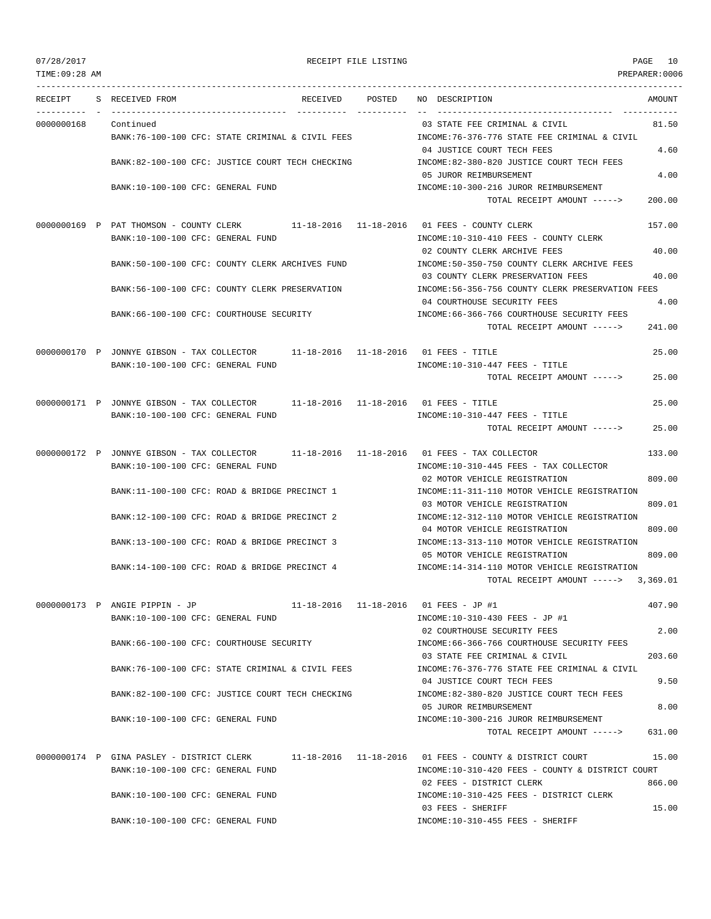TIME:09:28 AM PREPARER:0006 --------------------------------------------------------------------------------------------------------------------------------- RECEIPT S RECEIVED FROM THE RECEIVED POSTED NO DESCRIPTION THE RECEIVED AMOUNT ---------- - ----------------------------------- ---------- ---------- -- ----------------------------------- ----------- 0000000168 Continued 03 STATE FEE CRIMINAL & CIVIL 81.50 BANK:76-100-100 CFC: STATE CRIMINAL & CIVIL FEES INCOME:76-376-776 STATE FEE CRIMINAL & CIVIL 04 JUSTICE COURT TECH FEES 4.60 BANK:82-100-100 CFC: JUSTICE COURT TECH CHECKING INCOME:82-380-820 JUSTICE COURT TECH FEES 05 JUROR REIMBURSEMENT 4.00 BANK:10-100-100 CFC: GENERAL FUND INCOME:10-300-216 JUROR REIMBURSEMENT TOTAL RECEIPT AMOUNT -----> 200.00 0000000169 P PAT THOMSON - COUNTY CLERK 11-18-2016 11-18-2016 01 FEES - COUNTY CLERK 157.00 BANK:10-100-100 CFC: GENERAL FUND INCOME:10-310-410 FEES - COUNTY CLERK 02 COUNTY CLERK ARCHIVE FEES 40.00 BANK:50-100-100 CFC: COUNTY CLERK ARCHIVES FUND INCOME:50-350-750 COUNTY CLERK ARCHIVE FEES 03 COUNTY CLERK PRESERVATION FEES 40.00 BANK:56-100-100 CFC: COUNTY CLERK PRESERVATION INCOME:56-356-756 COUNTY CLERK PRESERVATION FEES 04 COURTHOUSE SECURITY FEES 4.00 BANK:66-100-100 CFC: COURTHOUSE SECURITY INCOME:66-366-766 COURTHOUSE SECURITY FEES TOTAL RECEIPT AMOUNT -----> 241.00 0000000170 P JONNYE GIBSON - TAX COLLECTOR 11-18-2016 11-18-2016 01 FEES - TITLE 25.00 BANK:10-100-100 CFC: GENERAL FUND  $INCOME:10-310-447$  FEES - TITLE TOTAL RECEIPT AMOUNT -----> 25.00 0000000171 P JONNYE GIBSON - TAX COLLECTOR 11-18-2016 11-18-2016 01 FEES - TITLE 25.00 BANK:10-100-100 CFC: GENERAL FUND **INCOME:10-310-447 FEES** - TITLE TOTAL RECEIPT AMOUNT -----> 25.00 0000000172 P JONNYE GIBSON - TAX COLLECTOR 11-18-2016 11-18-2016 01 FEES - TAX COLLECTOR 133.00 BANK:10-100-100 CFC: GENERAL FUND INCOME:10-310-445 FEES - TAX COLLECTOR 02 MOTOR VEHICLE REGISTRATION 809.00 BANK:11-100-100 CFC: ROAD & BRIDGE PRECINCT 1 INCOME:11-311-110 MOTOR VEHICLE REGISTRATION 03 MOTOR VEHICLE REGISTRATION 809.01 BANK:12-100-100 CFC: ROAD & BRIDGE PRECINCT 2 INCOME:12-312-110 MOTOR VEHICLE REGISTRATION 04 MOTOR VEHICLE REGISTRATION 809.00 BANK:13-100-100 CFC: ROAD & BRIDGE PRECINCT 3 INCOME:13-313-110 MOTOR VEHICLE REGISTRATION 05 MOTOR VEHICLE REGISTRATION 809.00 BANK:14-100-100 CFC: ROAD & BRIDGE PRECINCT 4 INCOME:14-314-110 MOTOR VEHICLE REGISTRATION TOTAL RECEIPT AMOUNT -----> 3,369.01 0000000173 P ANGIE PIPPIN - JP 11-18-2016 11-18-2016 01 FEES - JP #1 407.90 BANK:10-100-100 CFC: GENERAL FUND INCOME:10-310-430 FEES - JP #1 02 COURTHOUSE SECURITY FEES 2.00 BANK:66-100-100 CFC: COURTHOUSE SECURITY INCOME:66-366-766 COURTHOUSE SECURITY FEES 03 STATE FEE CRIMINAL & CIVIL 203.60 BANK:76-100-100 CFC: STATE CRIMINAL & CIVIL FEES INCOME:76-376-776 STATE FEE CRIMINAL & CIVIL 04 JUSTICE COURT TECH FEES 9.50 BANK:82-100-100 CFC: JUSTICE COURT TECH CHECKING INCOME:82-380-820 JUSTICE COURT TECH FEES 05 JUROR REIMBURSEMENT 8.00 BANK:10-100-100 CFC: GENERAL FUND INCOME:10-300-216 JUROR REIMBURSEMENT TOTAL RECEIPT AMOUNT -----> 631.00 0000000174 P GINA PASLEY - DISTRICT CLERK 11-18-2016 11-18-2016 01 FEES - COUNTY & DISTRICT COURT 15.00 BANK:10-100-100 CFC: GENERAL FUND INCOME:10-310-420 FEES - COUNTY & DISTRICT COURT 02 FEES - DISTRICT CLERK 866.00 BANK:10-100-100 CFC: GENERAL FUND INCOME:10-310-425 FEES - DISTRICT CLERK 03 FEES - SHERIFF 15.00 BANK:10-100-100 CFC: GENERAL FUND INCOME:10-310-455 FEES - SHERIFF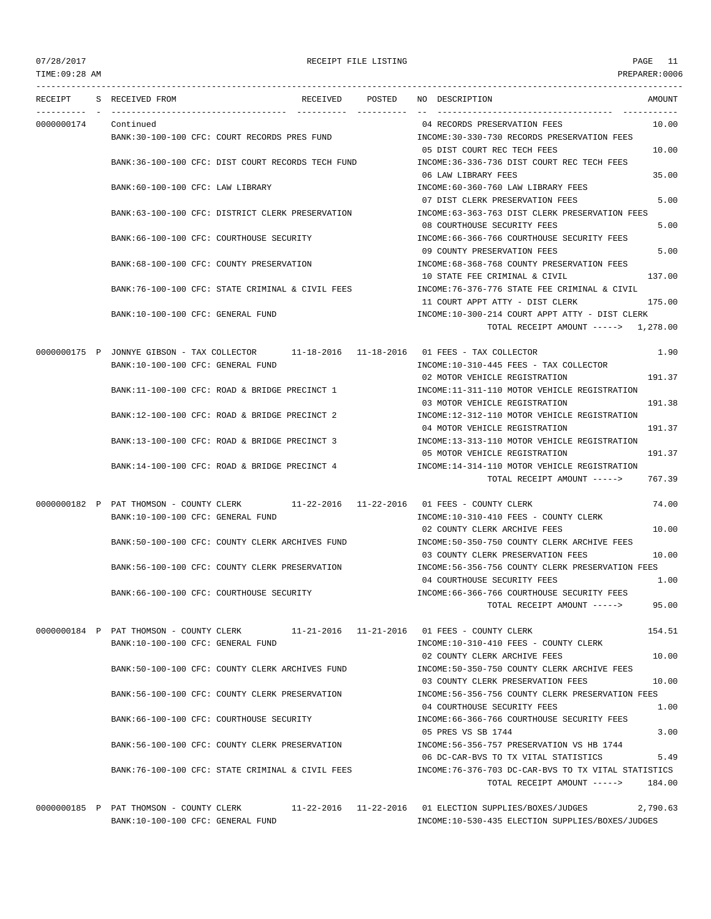TIME:09:28 AM PREPARER:0006 --------------------------------------------------------------------------------------------------------------------------------- RECEIPT S RECEIVED FROM THE RECEIVED POSTED NO DESCRIPTION THE RECEIVED AMOUNT ---------- - ----------------------------------- ---------- ---------- -- ----------------------------------- ----------- 0000000174 Continued 04 RECORDS PRESERVATION FEES 10.00 BANK:30-100-100 CFC: COURT RECORDS PRES FUND INCOME:30-330-730 RECORDS PRESERVATION FEES 05 DIST COURT REC TECH FEES 10.00 BANK:36-100-100 CFC: DIST COURT RECORDS TECH FUND INCOME:36-336-736 DIST COURT REC TECH FEES 06 LAW LIBRARY FEES 35.00 BANK:60-100-100 CFC: LAW LIBRARY INCOME:60-360-760 LAW LIBRARY FEES 07 DIST CLERK PRESERVATION FEES 5.00 BANK:63-100-100 CFC: DISTRICT CLERK PRESERVATION INCOME:63-363-763 DIST CLERK PRESERVATION FEES 08 COURTHOUSE SECURITY FEES 5.00 BANK:66-100-100 CFC: COURTHOUSE SECURITY **INCOME:66-366-766 COURTHOUSE SECURITY FEES** 09 COUNTY PRESERVATION FEES 5.00 BANK:68-100-100 CFC: COUNTY PRESERVATION INCOME:68-368-768 COUNTY PRESERVATION FEES 10 STATE FEE CRIMINAL & CIVIL 137.00 BANK:76-100-100 CFC: STATE CRIMINAL & CIVIL FEES INCOME:76-376-776 STATE FEE CRIMINAL & CIVIL 11 COURT APPT ATTY - DIST CLERK 175.00 BANK:10-100-100 CFC: GENERAL FUND INCOME:10-300-214 COURT APPT ATTY - DIST CLERK TOTAL RECEIPT AMOUNT -----> 1,278.00 0000000175 P JONNYE GIBSON - TAX COLLECTOR 11-18-2016 11-18-2016 01 FEES - TAX COLLECTOR 1.90 BANK:10-100-100 CFC: GENERAL FUND INCOME:10-310-445 FEES - TAX COLLECTOR 02 MOTOR VEHICLE REGISTRATION 191.37 BANK:11-100-100 CFC: ROAD & BRIDGE PRECINCT 1 INCOME:11-311-110 MOTOR VEHICLE REGISTRATION 03 MOTOR VEHICLE REGISTRATION 191.38 BANK:12-100-100 CFC: ROAD & BRIDGE PRECINCT 2 INCOME:12-312-110 MOTOR VEHICLE REGISTRATION 04 MOTOR VEHICLE REGISTRATION 191.37 BANK:13-100-100 CFC: ROAD & BRIDGE PRECINCT 3 INCOME:13-313-110 MOTOR VEHICLE REGISTRATION 05 MOTOR VEHICLE REGISTRATION 191.37 BANK:14-100-100 CFC: ROAD & BRIDGE PRECINCT 4 INCOME:14-314-110 MOTOR VEHICLE REGISTRATION TOTAL RECEIPT AMOUNT -----> 767.39 0000000182 P PAT THOMSON - COUNTY CLERK 11-22-2016 11-22-2016 01 FEES - COUNTY CLERK 74.00 BANK:10-100-100 CFC: GENERAL FUND INCOME:10-310-410 FEES - COUNTY CLERK 02 COUNTY CLERK ARCHIVE FEES 10.00 BANK:50-100-100 CFC: COUNTY CLERK ARCHIVES FUND INCOME:50-350-750 COUNTY CLERK ARCHIVE FEES 03 COUNTY CLERK PRESERVATION FEES 10.00 BANK:56-100-100 CFC: COUNTY CLERK PRESERVATION INCOME:56-356-756 COUNTY CLERK PRESERVATION FEES 04 COURTHOUSE SECURITY FEES 1.00 BANK:66-100-100 CFC: COURTHOUSE SECURITY INCOME:66-366-766 COURTHOUSE SECURITY FEES TOTAL RECEIPT AMOUNT -----> 95.00 0000000184 P PAT THOMSON - COUNTY CLERK 11-21-2016 11-21-2016 01 FEES - COUNTY CLERK 154.51 BANK:10-100-100 CFC: GENERAL FUND INCOME:10-310-410 FEES - COUNTY CLERK 02 COUNTY CLERK ARCHIVE FEES 10.00 BANK:50-100-100 CFC: COUNTY CLERK ARCHIVES FUND INCOME:50-350-750 COUNTY CLERK ARCHIVE FEES 03 COUNTY CLERK PRESERVATION FEES 10.00 BANK:56-100-100 CFC: COUNTY CLERK PRESERVATION INCOME:56-356-756 COUNTY CLERK PRESERVATION FEES 04 COURTHOUSE SECURITY FEES 1.00 BANK:66-100-100 CFC: COURTHOUSE SECURITY **INCOME:66-366-766 COURTHOUSE SECURITY FEES** 05 PRES VS SB 1744 3.00 BANK:56-100-100 CFC: COUNTY CLERK PRESERVATION INCOME:56-356-757 PRESERVATION VS HB 1744 06 DC-CAR-BVS TO TX VITAL STATISTICS 5.49 BANK:76-100-100 CFC: STATE CRIMINAL & CIVIL FEES INCOME:76-376-703 DC-CAR-BVS TO TX VITAL STATISTICS TOTAL RECEIPT AMOUNT -----> 184.00

0000000185 P PAT THOMSON - COUNTY CLERK 11-22-2016 11-22-2016 01 ELECTION SUPPLIES/BOXES/JUDGES 2,790.63 BANK:10-100-100 CFC: GENERAL FUND INCOME:10-530-435 ELECTION SUPPLIES/BOXES/JUDGES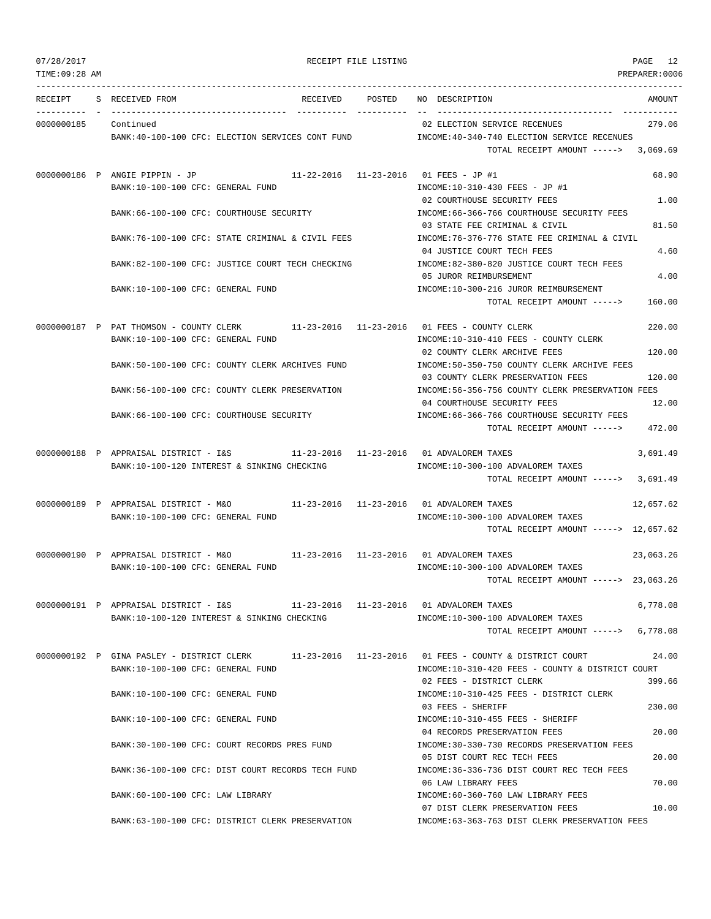|  | 07/28/2017 |  |
|--|------------|--|
|  |            |  |

RECEIPT FILE LISTING **EXECUTE A SECURE 12** 

TIME:09:28 AM PREPARER:0006 --------------------------------------------------------------------------------------------------------------------------------- RECEIPT S RECEIVED FROM RECEIVED POSTED NO DESCRIPTION AMOUNT ---------- - ----------------------------------- ---------- ---------- -- ----------------------------------- ----------- 0000000185 Continued 02 ELECTION SERVICE RECENUES 279.06 BANK:40-100-100 CFC: ELECTION SERVICES CONT FUND INCOME:40-340-740 ELECTION SERVICE RECENUES TOTAL RECEIPT AMOUNT -----> 3,069.69 0000000186 P ANGIE PIPPIN - JP 11-22-2016 11-23-2016 01 FEES - JP #1 68.90 BANK:10-100-100 CFC: GENERAL FUND INCOME:10-310-430 FEES - JP #1 02 COURTHOUSE SECURITY FEES 1.00 BANK:66-100-100 CFC: COURTHOUSE SECURITY INCOME:66-366-766 COURTHOUSE SECURITY FEES 03 STATE FEE CRIMINAL & CIVIL 81.50 BANK:76-100-100 CFC: STATE CRIMINAL & CIVIL FEES INCOME:76-376-776 STATE FEE CRIMINAL & CIVIL 04 JUSTICE COURT TECH FEES 4.60 BANK:82-100-100 CFC: JUSTICE COURT TECH CHECKING INCOME:82-380-820 JUSTICE COURT TECH FEES 05 JUROR REIMBURSEMENT 4.00 BANK:10-100-100 CFC: GENERAL FUND INCOME:10-300-216 JUROR REIMBURSEMENT TOTAL RECEIPT AMOUNT -----> 160.00 0000000187 P PAT THOMSON - COUNTY CLERK 11-23-2016 11-23-2016 01 FEES - COUNTY CLERK 220.00 BANK:10-100-100 CFC: GENERAL FUND INCOME:10-310-410 FEES - COUNTY CLERK 02 COUNTY CLERK ARCHIVE FEES 120.00 BANK:50-100-100 CFC: COUNTY CLERK ARCHIVES FUND INCOME:50-350-750 COUNTY CLERK ARCHIVE FEES 03 COUNTY CLERK PRESERVATION FEES 120.00 BANK:56-100-100 CFC: COUNTY CLERK PRESERVATION INCOME:56-356-756 COUNTY CLERK PRESERVATION FEES 04 COURTHOUSE SECURITY FEES 12.00 BANK:66-100-100 CFC: COURTHOUSE SECURITY **INCOME:66-366-766 COURTHOUSE SECURITY FEES** TOTAL RECEIPT AMOUNT -----> 472.00 0000000188 P APPRAISAL DISTRICT - I&S 11-23-2016 11-23-2016 01 ADVALOREM TAXES 3,691.49 BANK:10-100-120 INTEREST & SINKING CHECKING  $INCOME:10-300-100$  ADVALOREM TAXES TOTAL RECEIPT AMOUNT -----> 3,691.49 0000000189 P APPRAISAL DISTRICT - M&O 11-23-2016 11-23-2016 01 ADVALOREM TAXES 12,657.62 BANK:10-100-100 CFC: GENERAL FUND INCOME:10-300-100 ADVALOREM TAXES TOTAL RECEIPT AMOUNT -----> 12,657.62 0000000190 P APPRAISAL DISTRICT - M&O 11-23-2016 11-23-2016 01 ADVALOREM TAXES 23,063.26 BANK:10-100-100 CFC: GENERAL FUND **INCOME:10-300-100 ADVALOREM TAXES** TOTAL RECEIPT AMOUNT -----> 23,063.26 0000000191 P APPRAISAL DISTRICT - I&S 11-23-2016 11-23-2016 01 ADVALOREM TAXES 6,778.08 BANK:10-100-120 INTEREST & SINKING CHECKING INCOME:10-300-100 ADVALOREM TAXES TOTAL RECEIPT AMOUNT -----> 6,778.08 0000000192 P GINA PASLEY - DISTRICT CLERK 11-23-2016 11-23-2016 01 FEES - COUNTY & DISTRICT COURT 24.00 BANK:10-100-100 CFC: GENERAL FUND INCOME:10-310-420 FEES - COUNTY & DISTRICT COURT 02 FEES - DISTRICT CLERK 399.66 BANK:10-100-100 CFC: GENERAL FUND INCOME:10-310-425 FEES - DISTRICT CLERK 03 FEES - SHERIFF 230.00 BANK:10-100-100 CFC: GENERAL FUND INCOME:10-310-455 FEES - SHERIFF 04 RECORDS PRESERVATION FEES 20.00 BANK:30-100-100 CFC: COURT RECORDS PRES FUND INCOME:30-330-730 RECORDS PRESERVATION FEES 05 DIST COURT REC TECH FEES 20.00 BANK:36-100-100 CFC: DIST COURT RECORDS TECH FUND INCOME:36-336-736 DIST COURT REC TECH FEES 06 LAW LIBRARY FEES 70.00 BANK:60-100-100 CFC: LAW LIBRARY INCOME:60-360-760 LAW LIBRARY FEES 07 DIST CLERK PRESERVATION FEES 10.00

BANK:63-100-100 CFC: DISTRICT CLERK PRESERVATION INCOME:63-363-763 DIST CLERK PRESERVATION FEES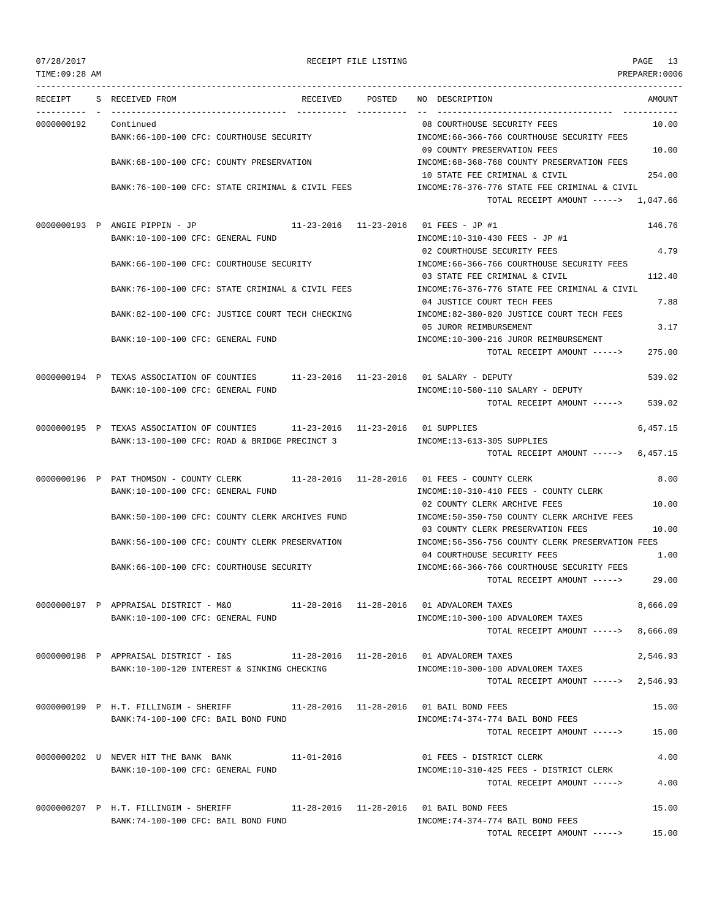TIME:09:28 AM PREPARER:0006 --------------------------------------------------------------------------------------------------------------------------------- RECEIPT S RECEIVED FROM RECEIVED POSTED NO DESCRIPTION AMOUNT ---------- - ----------------------------------- ---------- ---------- -- ----------------------------------- ----------- 0000000192 Continued 08 COURTHOUSE SECURITY FEES 10.00 BANK:66-100-100 CFC: COURTHOUSE SECURITY INCOME:66-366-766 COURTHOUSE SECURITY FEES 09 COUNTY PRESERVATION FEES 10.00 BANK:68-100-100 CFC: COUNTY PRESERVATION INCOME:68-368-768 COUNTY PRESERVATION FEES 10 STATE FEE CRIMINAL & CIVIL BANK:76-100-100 CFC: STATE CRIMINAL & CIVIL FEES INCOME:76-376-776 STATE FEE CRIMINAL & CIVIL TOTAL RECEIPT AMOUNT -----> 1,047.66 0000000193 P ANGIE PIPPIN - JP 11-23-2016 11-23-2016 01 FEES - JP #1 146.76 BANK:10-100-100 CFC: GENERAL FUND INCOME:10-310-430 FEES - JP #1 02 COURTHOUSE SECURITY FEES 4.79 BANK:66-100-100 CFC: COURTHOUSE SECURITY INCOME:66-366-766 COURTHOUSE SECURITY FEES 03 STATE FEE CRIMINAL & CIVIL 112.40 BANK:76-100-100 CFC: STATE CRIMINAL & CIVIL FEES INCOME:76-376-776 STATE FEE CRIMINAL & CIVIL 04 JUSTICE COURT TECH FEES 7.88 BANK:82-100-100 CFC: JUSTICE COURT TECH CHECKING INCOME:82-380-820 JUSTICE COURT TECH FEES 05 JUROR REIMBURSEMENT 3.17 BANK:10-100-100 CFC: GENERAL FUND INCOME:10-300-216 JUROR REIMBURSEMENT TOTAL RECEIPT AMOUNT -----> 275.00 0000000194 P TEXAS ASSOCIATION OF COUNTIES 11-23-2016 11-23-2016 01 SALARY - DEPUTY 539.02 BANK:10-100-100 CFC: GENERAL FUND INCOME:10-580-110 SALARY - DEPUTY TOTAL RECEIPT AMOUNT -----> 539.02 0000000195 P TEXAS ASSOCIATION OF COUNTIES 11-23-2016 11-23-2016 01 SUPPLIES 6,457.15 BANK:13-100-100 CFC: ROAD & BRIDGE PRECINCT 3 INCOME:13-613-305 SUPPLIES TOTAL RECEIPT AMOUNT -----> 6,457.15 0000000196 P PAT THOMSON - COUNTY CLERK 11-28-2016 11-28-2016 01 FEES - COUNTY CLERK 8.00 BANK:10-100-100 CFC: GENERAL FUND INCOME:10-310-410 FEES - COUNTY CLERK 02 COUNTY CLERK ARCHIVE FEES 10.00 BANK:50-100-100 CFC: COUNTY CLERK ARCHIVES FUND INCOME:50-350-750 COUNTY CLERK ARCHIVE FEES 03 COUNTY CLERK PRESERVATION FEES 10.00 BANK:56-100-100 CFC: COUNTY CLERK PRESERVATION INCOME:56-356-756 COUNTY CLERK PRESERVATION FEES 04 COURTHOUSE SECURITY FEES 1.00 BANK:66-100-100 CFC: COURTHOUSE SECURITY INCOME:66-366-766 COURTHOUSE SECURITY FEES TOTAL RECEIPT AMOUNT -----> 29.00 0000000197 P APPRAISAL DISTRICT - M&O 11-28-2016 11-28-2016 01 ADVALOREM TAXES 8,666.09 BANK:10-100-100 CFC: GENERAL FUND INCOME:10-300-100 ADVALOREM TAXES TOTAL RECEIPT AMOUNT -----> 8,666.09 0000000198 P APPRAISAL DISTRICT - I&S 11-28-2016 11-28-2016 01 ADVALOREM TAXES 2,546.93 BANK:10-100-120 INTEREST & SINKING CHECKING INCOME:10-300-100 ADVALOREM TAXES TOTAL RECEIPT AMOUNT -----> 2,546.93 0000000199 P H.T. FILLINGIM - SHERIFF 11-28-2016 11-28-2016 01 BAIL BOND FEES 15.00 BANK:74-100-100 CFC: BAIL BOND FUND INCOME:74-374-774 BAIL BOND FEES TOTAL RECEIPT AMOUNT -----> 15.00 0000000202 U NEVER HIT THE BANK BANK 11-01-2016 01 FEES - DISTRICT CLERK 4.00 BANK:10-100-100 CFC: GENERAL FUND INCOME:10-310-425 FEES - DISTRICT CLERK TOTAL RECEIPT AMOUNT -----> 4.00 0000000207 P H.T. FILLINGIM - SHERIFF 11-28-2016 11-28-2016 01 BAIL BOND FEES 15.00 BANK:74-100-100 CFC: BAIL BOND FUND INCOME:74-374-774 BAIL BOND FEES

TOTAL RECEIPT AMOUNT -----> 15.00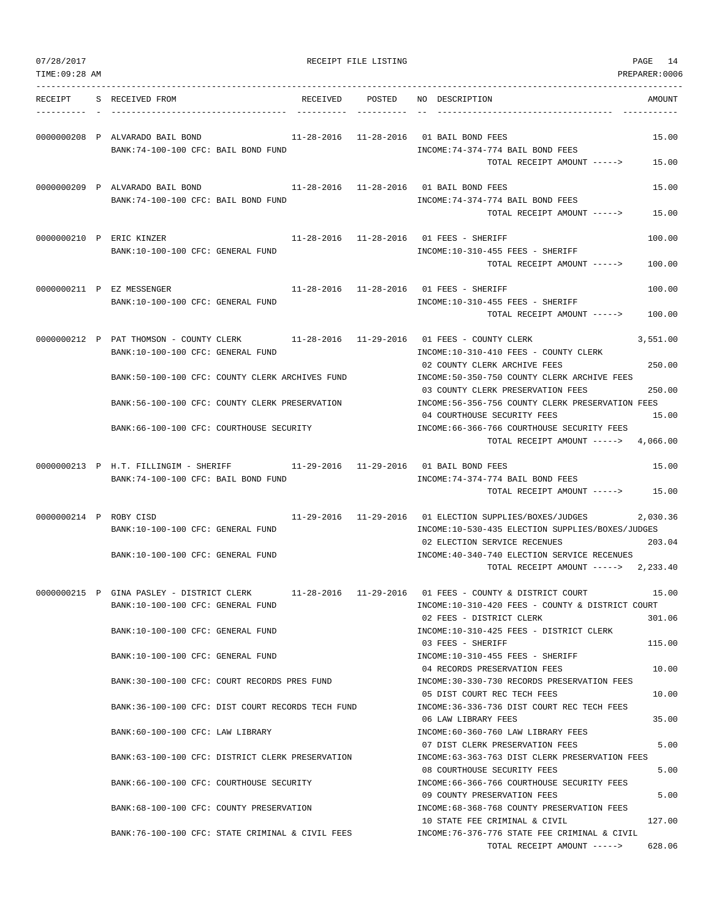| 07/28/2017             |                                                                                                   | RECEIPT FILE LISTING   |                                                                                                                                                                                                               | PAGE<br>14         |
|------------------------|---------------------------------------------------------------------------------------------------|------------------------|---------------------------------------------------------------------------------------------------------------------------------------------------------------------------------------------------------------|--------------------|
| TIME: 09:28 AM         |                                                                                                   |                        |                                                                                                                                                                                                               | PREPARER:0006      |
| RECEIPT                | RECEIVED<br>S RECEIVED FROM                                                                       | POSTED                 | NO DESCRIPTION                                                                                                                                                                                                | AMOUNT             |
|                        | 0000000208 P ALVARADO BAIL BOND<br>BANK:74-100-100 CFC: BAIL BOND FUND                            |                        | 11-28-2016  11-28-2016  01 BAIL BOND FEES<br>INCOME: 74-374-774 BAIL BOND FEES<br>TOTAL RECEIPT AMOUNT ----->                                                                                                 | 15.00<br>15.00     |
|                        | 0000000209 P ALVARADO BAIL BOND<br>BANK:74-100-100 CFC: BAIL BOND FUND                            |                        | 11-28-2016  11-28-2016  01 BAIL BOND FEES<br>INCOME: 74-374-774 BAIL BOND FEES<br>TOTAL RECEIPT AMOUNT ----->                                                                                                 | 15.00<br>15.00     |
|                        | 0000000210 P ERIC KINZER<br>BANK:10-100-100 CFC: GENERAL FUND                                     |                        | 11-28-2016  11-28-2016  01 FEES - SHERIFF<br>INCOME:10-310-455 FEES - SHERIFF<br>TOTAL RECEIPT AMOUNT ----->                                                                                                  | 100.00<br>100.00   |
|                        | 0000000211 P EZ MESSENGER<br>BANK:10-100-100 CFC: GENERAL FUND                                    |                        | 11-28-2016  11-28-2016  01 FEES - SHERIFF<br>INCOME: 10-310-455 FEES - SHERIFF<br>TOTAL RECEIPT AMOUNT ----->                                                                                                 | 100.00<br>100.00   |
|                        | 0000000212 P PAT THOMSON - COUNTY CLERK<br>BANK:10-100-100 CFC: GENERAL FUND                      |                        | INCOME:10-310-410 FEES - COUNTY CLERK<br>02 COUNTY CLERK ARCHIVE FEES                                                                                                                                         | 3,551.00<br>250.00 |
|                        | BANK:50-100-100 CFC: COUNTY CLERK ARCHIVES FUND<br>BANK:56-100-100 CFC: COUNTY CLERK PRESERVATION |                        | INCOME: 50-350-750 COUNTY CLERK ARCHIVE FEES<br>03 COUNTY CLERK PRESERVATION FEES<br>INCOME:56-356-756 COUNTY CLERK PRESERVATION FEES                                                                         | 250.00             |
|                        | BANK:66-100-100 CFC: COURTHOUSE SECURITY                                                          |                        | 04 COURTHOUSE SECURITY FEES<br>INCOME:66-366-766 COURTHOUSE SECURITY FEES<br>TOTAL RECEIPT AMOUNT $--- 2$ 4,066.00                                                                                            | 15.00              |
|                        | 0000000213 P H.T. FILLINGIM - SHERIFF<br>BANK:74-100-100 CFC: BAIL BOND FUND                      | 11-29-2016  11-29-2016 | 01 BAIL BOND FEES<br>INCOME: 74-374-774 BAIL BOND FEES<br>TOTAL RECEIPT AMOUNT ----->                                                                                                                         | 15.00<br>15.00     |
| 0000000214 P ROBY CISD | BANK:10-100-100 CFC: GENERAL FUND<br>BANK:10-100-100 CFC: GENERAL FUND                            | 11-29-2016  11-29-2016 | 01 ELECTION SUPPLIES/BOXES/JUDGES<br>INCOME:10-530-435 ELECTION SUPPLIES/BOXES/JUDGES<br>02 ELECTION SERVICE RECENUES<br>INCOME: 40-340-740 ELECTION SERVICE RECENUES<br>TOTAL RECEIPT AMOUNT -----> 2,233.40 | 2,030.36<br>203.04 |
|                        | 0000000215 P GINA PASLEY - DISTRICT CLERK<br>BANK:10-100-100 CFC: GENERAL FUND                    |                        | $11-28-2016$ $11-29-2016$ 01 FEES - COUNTY & DISTRICT COURT<br>INCOME:10-310-420 FEES - COUNTY & DISTRICT COURT<br>02 FEES - DISTRICT CLERK                                                                   | 15.00<br>301.06    |
|                        | BANK:10-100-100 CFC: GENERAL FUND<br>BANK:10-100-100 CFC: GENERAL FUND                            |                        | INCOME:10-310-425 FEES - DISTRICT CLERK<br>03 FEES - SHERIFF<br>INCOME:10-310-455 FEES - SHERIFF                                                                                                              | 115.00             |
|                        | BANK:30-100-100 CFC: COURT RECORDS PRES FUND                                                      |                        | 04 RECORDS PRESERVATION FEES<br>INCOME:30-330-730 RECORDS PRESERVATION FEES                                                                                                                                   | 10.00              |
|                        | BANK:36-100-100 CFC: DIST COURT RECORDS TECH FUND                                                 |                        | 05 DIST COURT REC TECH FEES<br>INCOME: 36-336-736 DIST COURT REC TECH FEES                                                                                                                                    | 10.00              |
|                        | BANK:60-100-100 CFC: LAW LIBRARY                                                                  |                        | 06 LAW LIBRARY FEES<br>INCOME:60-360-760 LAW LIBRARY FEES<br>07 DIST CLERK PRESERVATION FEES                                                                                                                  | 35.00<br>5.00      |
|                        | BANK:63-100-100 CFC: DISTRICT CLERK PRESERVATION                                                  |                        | INCOME:63-363-763 DIST CLERK PRESERVATION FEES<br>08 COURTHOUSE SECURITY FEES                                                                                                                                 | 5.00               |
|                        | BANK:66-100-100 CFC: COURTHOUSE SECURITY                                                          |                        | INCOME: 66-366-766 COURTHOUSE SECURITY FEES<br>09 COUNTY PRESERVATION FEES                                                                                                                                    | 5.00               |
|                        | BANK:68-100-100 CFC: COUNTY PRESERVATION<br>BANK:76-100-100 CFC: STATE CRIMINAL & CIVIL FEES      |                        | INCOME: 68-368-768 COUNTY PRESERVATION FEES<br>10 STATE FEE CRIMINAL & CIVIL<br>INCOME:76-376-776 STATE FEE CRIMINAL & CIVIL                                                                                  | 127.00             |
|                        |                                                                                                   |                        | TOTAL RECEIPT AMOUNT ----->                                                                                                                                                                                   | 628.06             |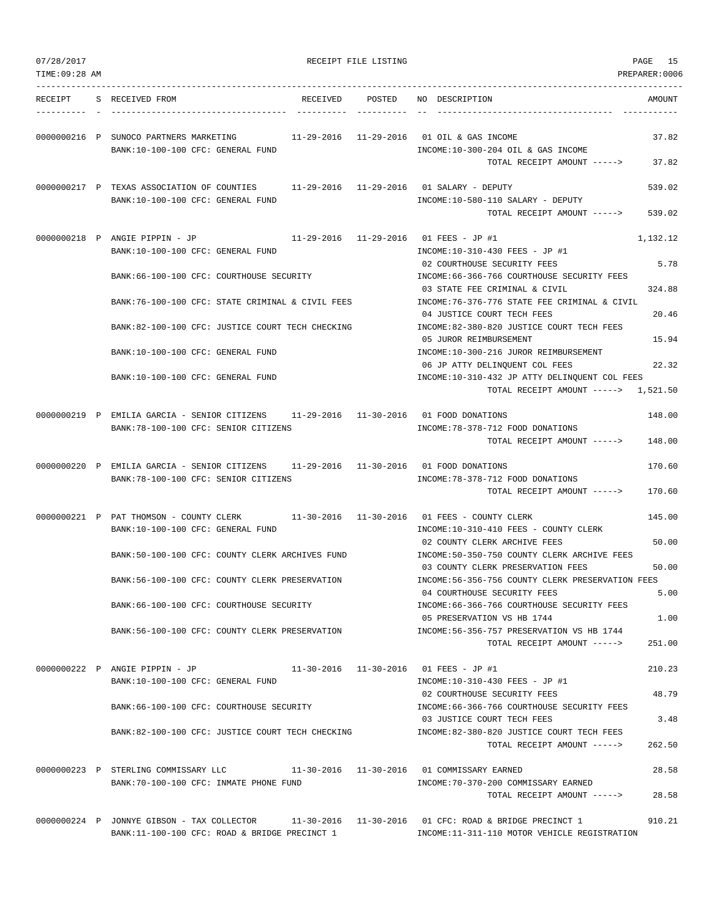| 07/28/2017<br>TIME: 09:28 AM |                                                                                                                               | RECEIPT FILE LISTING |                                                                                                                       | PAGE 15<br>PREPARER:0006 |
|------------------------------|-------------------------------------------------------------------------------------------------------------------------------|----------------------|-----------------------------------------------------------------------------------------------------------------------|--------------------------|
| RECEIPT                      | S RECEIVED FROM<br>RECEIVED                                                                                                   | POSTED               | NO DESCRIPTION                                                                                                        | AMOUNT                   |
|                              | 0000000216 P SUNOCO PARTNERS MARKETING<br>BANK:10-100-100 CFC: GENERAL FUND                                                   |                      | 11-29-2016   11-29-2016   01   OIL & GAS INCOME<br>INCOME:10-300-204 OIL & GAS INCOME<br>TOTAL RECEIPT AMOUNT ----->  | 37.82<br>37.82           |
|                              | 0000000217 P TEXAS ASSOCIATION OF COUNTIES<br>BANK:10-100-100 CFC: GENERAL FUND                                               |                      | 11-29-2016  11-29-2016  01 SALARY - DEPUTY<br>INCOME:10-580-110 SALARY - DEPUTY<br>TOTAL RECEIPT AMOUNT ----->        | 539.02<br>539.02         |
|                              | 0000000218 P ANGIE PIPPIN - JP<br>BANK:10-100-100 CFC: GENERAL FUND                                                           |                      | 11-29-2016  11-29-2016  01 FEES - JP #1<br>INCOME:10-310-430 FEES - JP #1                                             | 1,132.12                 |
|                              | BANK:66-100-100 CFC: COURTHOUSE SECURITY                                                                                      |                      | 02 COURTHOUSE SECURITY FEES<br>INCOME: 66-366-766 COURTHOUSE SECURITY FEES                                            | 5.78                     |
|                              | BANK:76-100-100 CFC: STATE CRIMINAL & CIVIL FEES                                                                              |                      | 03 STATE FEE CRIMINAL & CIVIL<br>INCOME: 76-376-776 STATE FEE CRIMINAL & CIVIL                                        | 324.88                   |
|                              | BANK:82-100-100 CFC: JUSTICE COURT TECH CHECKING                                                                              |                      | 04 JUSTICE COURT TECH FEES<br>INCOME:82-380-820 JUSTICE COURT TECH FEES<br>05 JUROR REIMBURSEMENT                     | 20.46<br>15.94           |
|                              | BANK:10-100-100 CFC: GENERAL FUND                                                                                             |                      | INCOME:10-300-216 JUROR REIMBURSEMENT<br>06 JP ATTY DELINQUENT COL FEES                                               | 22.32                    |
|                              | BANK:10-100-100 CFC: GENERAL FUND                                                                                             |                      | INCOME:10-310-432 JP ATTY DELINQUENT COL FEES<br>TOTAL RECEIPT AMOUNT -----> 1,521.50                                 |                          |
|                              | 0000000219 P EMILIA GARCIA - SENIOR CITIZENS 11-29-2016 11-30-2016 01 FOOD DONATIONS<br>BANK: 78-100-100 CFC: SENIOR CITIZENS |                      | INCOME: 78-378-712 FOOD DONATIONS                                                                                     | 148.00                   |
|                              |                                                                                                                               |                      | TOTAL RECEIPT AMOUNT ----->                                                                                           | 148.00                   |
|                              | 0000000220 P EMILIA GARCIA - SENIOR CITIZENS<br>BANK: 78-100-100 CFC: SENIOR CITIZENS                                         |                      | 11-29-2016  11-30-2016  01 FOOD DONATIONS<br>INCOME: 78-378-712 FOOD DONATIONS<br>TOTAL RECEIPT AMOUNT ----->         | 170.60<br>170.60         |
|                              | 0000000221 P PAT THOMSON - COUNTY CLERK<br>BANK:10-100-100 CFC: GENERAL FUND                                                  |                      | 11-30-2016   11-30-2016   01   FEES - COUNTY CLERK<br>INCOME:10-310-410 FEES - COUNTY CLERK                           | 145.00                   |
|                              | BANK: 50-100-100 CFC: COUNTY CLERK ARCHIVES FUND                                                                              |                      | 02 COUNTY CLERK ARCHIVE FEES<br>INCOME:50-350-750 COUNTY CLERK ARCHIVE FEES                                           | 50.00                    |
|                              | BANK:56-100-100 CFC: COUNTY CLERK PRESERVATION                                                                                |                      | 03 COUNTY CLERK PRESERVATION FEES<br>INCOME: 56-356-756 COUNTY CLERK PRESERVATION FEES<br>04 COURTHOUSE SECURITY FEES | 50.00<br>5.00            |
|                              | BANK:66-100-100 CFC: COURTHOUSE SECURITY                                                                                      |                      | INCOME: 66-366-766 COURTHOUSE SECURITY FEES<br>05 PRESERVATION VS HB 1744                                             | 1.00                     |
|                              | BANK:56-100-100 CFC: COUNTY CLERK PRESERVATION                                                                                |                      | INCOME: 56-356-757 PRESERVATION VS HB 1744<br>TOTAL RECEIPT AMOUNT ----->                                             | 251.00                   |
|                              | 0000000222 P ANGIE PIPPIN - JP<br>BANK:10-100-100 CFC: GENERAL FUND                                                           |                      | 11-30-2016  11-30-2016  01 FEES - JP #1<br>$INCOME:10-310-430 FEES - JP #1$                                           | 210.23                   |
|                              | BANK:66-100-100 CFC: COURTHOUSE SECURITY                                                                                      |                      | 02 COURTHOUSE SECURITY FEES<br>INCOME: 66-366-766 COURTHOUSE SECURITY FEES                                            | 48.79                    |
|                              | BANK:82-100-100 CFC: JUSTICE COURT TECH CHECKING                                                                              |                      | 03 JUSTICE COURT TECH FEES<br>INCOME:82-380-820 JUSTICE COURT TECH FEES<br>TOTAL RECEIPT AMOUNT ----->                | 3.48<br>262.50           |
|                              | 0000000223 P STERLING COMMISSARY LLC 11-30-2016 11-30-2016 01 COMMISSARY EARNED                                               |                      |                                                                                                                       | 28.58                    |
|                              | BANK: 70-100-100 CFC: INMATE PHONE FUND                                                                                       |                      | INCOME: 70-370-200 COMMISSARY EARNED<br>TOTAL RECEIPT AMOUNT ----->                                                   | 28.58                    |
|                              | 0000000224 P JONNYE GIBSON - TAX COLLECTOR<br>BANK:11-100-100 CFC: ROAD & BRIDGE PRECINCT 1                                   |                      | 11-30-2016    11-30-2016    01 CFC: ROAD & BRIDGE PRECINCT    1<br>INCOME:11-311-110 MOTOR VEHICLE REGISTRATION       | 910.21                   |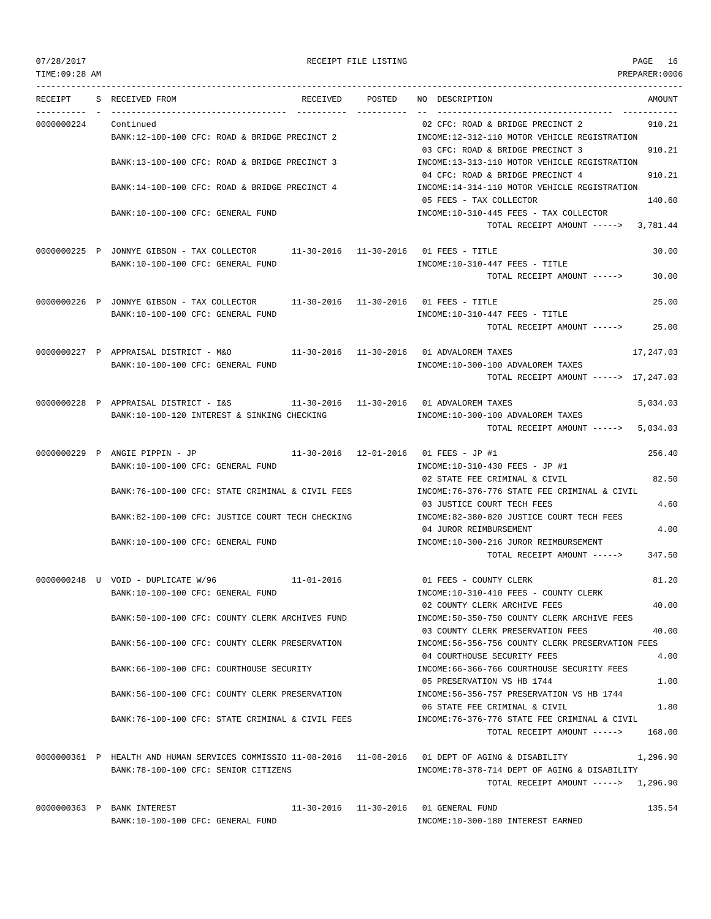| 07/28/2017    |                                                                                                      |            | RECEIPT FILE LISTING |                                                                                  | PAGE 16       |
|---------------|------------------------------------------------------------------------------------------------------|------------|----------------------|----------------------------------------------------------------------------------|---------------|
| TIME:09:28 AM |                                                                                                      |            |                      |                                                                                  | PREPARER:0006 |
| RECEIPT       | S RECEIVED FROM                                                                                      |            | RECEIVED POSTED      | NO DESCRIPTION                                                                   | AMOUNT        |
| 0000000224    | Continued                                                                                            |            |                      | 02 CFC: ROAD & BRIDGE PRECINCT 2                                                 | 910.21        |
|               | BANK:12-100-100 CFC: ROAD & BRIDGE PRECINCT 2                                                        |            |                      | INCOME:12-312-110 MOTOR VEHICLE REGISTRATION                                     |               |
|               |                                                                                                      |            |                      | 03 CFC: ROAD & BRIDGE PRECINCT 3                                                 | 910.21        |
|               | BANK:13-100-100 CFC: ROAD & BRIDGE PRECINCT 3                                                        |            |                      | INCOME:13-313-110 MOTOR VEHICLE REGISTRATION                                     |               |
|               | BANK:14-100-100 CFC: ROAD & BRIDGE PRECINCT 4                                                        |            |                      | 04 CFC: ROAD & BRIDGE PRECINCT 4<br>INCOME:14-314-110 MOTOR VEHICLE REGISTRATION | 910.21        |
|               |                                                                                                      |            |                      | 05 FEES - TAX COLLECTOR                                                          | 140.60        |
|               | BANK:10-100-100 CFC: GENERAL FUND                                                                    |            |                      | INCOME:10-310-445 FEES - TAX COLLECTOR                                           |               |
|               |                                                                                                      |            |                      | TOTAL RECEIPT AMOUNT -----> 3,781.44                                             |               |
|               |                                                                                                      |            |                      |                                                                                  |               |
|               | 0000000225 P JONNYE GIBSON - TAX COLLECTOR 11-30-2016 11-30-2016 01 FEES - TITLE                     |            |                      |                                                                                  | 30.00         |
|               | BANK:10-100-100 CFC: GENERAL FUND                                                                    |            |                      | $INCOME: 10-310-447$ FEES - TITLE<br>TOTAL RECEIPT AMOUNT ----->                 | 30.00         |
|               |                                                                                                      |            |                      |                                                                                  |               |
|               | 0000000226 P JONNYE GIBSON - TAX COLLECTOR 11-30-2016 11-30-2016 01 FEES - TITLE                     |            |                      |                                                                                  | 25.00         |
|               | BANK:10-100-100 CFC: GENERAL FUND                                                                    |            |                      | INCOME:10-310-447 FEES - TITLE                                                   |               |
|               |                                                                                                      |            |                      | TOTAL RECEIPT AMOUNT ----->                                                      | 25.00         |
|               |                                                                                                      |            |                      |                                                                                  |               |
|               | 0000000227 P APPRAISAL DISTRICT - M&O<br>BANK:10-100-100 CFC: GENERAL FUND                           |            |                      | 11-30-2016  11-30-2016  01 ADVALOREM TAXES<br>INCOME:10-300-100 ADVALOREM TAXES  | 17,247.03     |
|               |                                                                                                      |            |                      | TOTAL RECEIPT AMOUNT -----> 17,247.03                                            |               |
|               | 0000000228 P APPRAISAL DISTRICT - I&S 11-30-2016 11-30-2016 01 ADVALOREM TAXES                       |            |                      |                                                                                  | 5,034.03      |
|               | BANK:10-100-120 INTEREST & SINKING CHECKING                                                          |            |                      | INCOME:10-300-100 ADVALOREM TAXES                                                |               |
|               |                                                                                                      |            |                      | TOTAL RECEIPT AMOUNT -----> 5,034.03                                             |               |
|               | 0000000229 P ANGIE PIPPIN - JP                                                                       |            |                      | 11-30-2016  12-01-2016  01 FEES - JP #1                                          | 256.40        |
|               | BANK:10-100-100 CFC: GENERAL FUND                                                                    |            |                      | INCOME:10-310-430 FEES - JP #1                                                   |               |
|               |                                                                                                      |            |                      | 02 STATE FEE CRIMINAL & CIVIL                                                    | 82.50         |
|               | BANK:76-100-100 CFC: STATE CRIMINAL & CIVIL FEES                                                     |            |                      | INCOME: 76-376-776 STATE FEE CRIMINAL & CIVIL                                    |               |
|               | BANK:82-100-100 CFC: JUSTICE COURT TECH CHECKING                                                     |            |                      | 03 JUSTICE COURT TECH FEES<br>INCOME:82-380-820 JUSTICE COURT TECH FEES          | 4.60          |
|               |                                                                                                      |            |                      | 04 JUROR REIMBURSEMENT                                                           | 4.00          |
|               | BANK:10-100-100 CFC: GENERAL FUND                                                                    |            |                      | INCOME:10-300-216 JUROR REIMBURSEMENT                                            |               |
|               |                                                                                                      |            |                      | TOTAL RECEIPT AMOUNT -----> 347.50                                               |               |
|               |                                                                                                      |            |                      |                                                                                  |               |
|               | 0000000248 U VOID - DUPLICATE W/96<br>BANK:10-100-100 CFC: GENERAL FUND                              | 11-01-2016 |                      | 01 FEES - COUNTY CLERK<br>INCOME:10-310-410 FEES - COUNTY CLERK                  | 81.20         |
|               |                                                                                                      |            |                      | 02 COUNTY CLERK ARCHIVE FEES                                                     | 40.00         |
|               | BANK:50-100-100 CFC: COUNTY CLERK ARCHIVES FUND                                                      |            |                      | INCOME:50-350-750 COUNTY CLERK ARCHIVE FEES                                      |               |
|               |                                                                                                      |            |                      | 03 COUNTY CLERK PRESERVATION FEES                                                | 40.00         |
|               | BANK:56-100-100 CFC: COUNTY CLERK PRESERVATION                                                       |            |                      | INCOME:56-356-756 COUNTY CLERK PRESERVATION FEES                                 |               |
|               |                                                                                                      |            |                      | 04 COURTHOUSE SECURITY FEES                                                      | 4.00          |
|               | BANK:66-100-100 CFC: COURTHOUSE SECURITY                                                             |            |                      | INCOME:66-366-766 COURTHOUSE SECURITY FEES<br>05 PRESERVATION VS HB 1744         | 1.00          |
|               | BANK:56-100-100 CFC: COUNTY CLERK PRESERVATION                                                       |            |                      | INCOME: 56-356-757 PRESERVATION VS HB 1744                                       |               |
|               |                                                                                                      |            |                      | 06 STATE FEE CRIMINAL & CIVIL                                                    | 1.80          |
|               | BANK:76-100-100 CFC: STATE CRIMINAL & CIVIL FEES                                                     |            |                      | INCOME: 76-376-776 STATE FEE CRIMINAL & CIVIL                                    |               |
|               |                                                                                                      |            |                      | TOTAL RECEIPT AMOUNT ----->                                                      | 168.00        |
|               | 0000000361 P HEALTH AND HUMAN SERVICES COMMISSIO 11-08-2016 11-08-2016 01 DEPT OF AGING & DISABILITY |            |                      |                                                                                  |               |
|               | BANK: 78-100-100 CFC: SENIOR CITIZENS                                                                |            |                      | INCOME: 78-378-714 DEPT OF AGING & DISABILITY                                    | 1,296.90      |
|               |                                                                                                      |            |                      | TOTAL RECEIPT AMOUNT $--- 2$ 1,296.90                                            |               |
|               |                                                                                                      |            |                      |                                                                                  |               |
|               | $0.00000025$ DANIV TNTEDECT                                                                          |            |                      | 11 20 2016 11 20 2016 01 CENTERN EIND                                            | 125E          |

0000000363 P BANK INTEREST 11-30-2016 11-30-2016 11-30-2016 01 GENERAL FUND 135.54 BANK:10-100-100 CFC: GENERAL FUND INCOME:10-300-180 INTEREST EARNED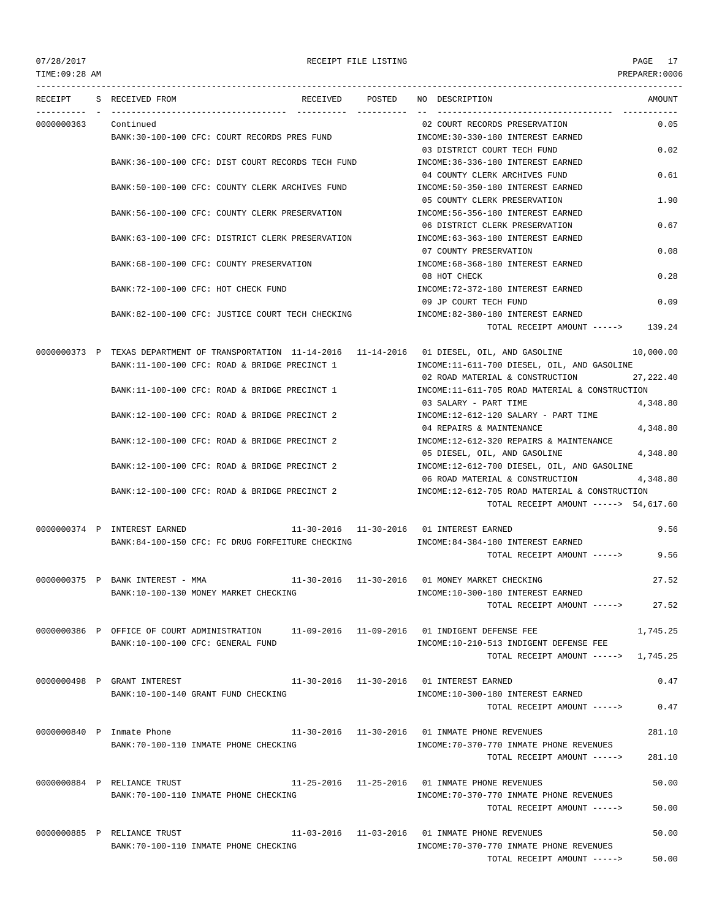# 07/28/2017 RECEIPT FILE LISTING PAGE 17

TOTAL RECEIPT AMOUNT -----> 50.00

--------------------------------------------------------------------------------------------------------------------------------- RECEIPT S RECEIVED FROM THE RECEIVED POSTED NO DESCRIPTION THE RECEIVED AMOUNT ---------- - ----------------------------------- ---------- ---------- -- ----------------------------------- ----------- 0000000363 Continued 02 COURT RECORDS PRESERVATION 0.05 BANK:30-100-100 CFC: COURT RECORDS PRES FUND INCOME:30-330-180 INTEREST EARNED 03 DISTRICT COURT TECH FUND 0.02 BANK:36-100-100 CFC: DIST COURT RECORDS TECH FUND INCOME:36-336-180 INTEREST EARNED 04 COUNTY CLERK ARCHIVES FUND 0.61 BANK:50-100-100 CFC: COUNTY CLERK ARCHIVES FUND INCOME:50-350-180 INTEREST EARNED 05 COUNTY CLERK PRESERVATION 1.90 BANK:56-100-100 CFC: COUNTY CLERK PRESERVATION INCOME:56-356-180 INTEREST EARNED 06 DISTRICT CLERK PRESERVATION 0.67 BANK:63-100-100 CFC: DISTRICT CLERK PRESERVATION INCOME:63-363-180 INTEREST EARNED 07 COUNTY PRESERVATION 0.08 BANK:68-100-100 CFC: COUNTY PRESERVATION  $N = 68-368-180$  INTEREST EARNED 08 HOT CHECK 0.28 BANK:72-100-100 CFC: HOT CHECK FUND IN A SUBSECTED THE RESERVED TO THE SARDED AND THE SARDED 09 JP COURT TECH FUND 0.09 BANK:82-100-100 CFC: JUSTICE COURT TECH CHECKING INCOME:82-380-180 INTEREST EARNED TOTAL RECEIPT AMOUNT -----> 139.24 0000000373 P TEXAS DEPARTMENT OF TRANSPORTATION 11-14-2016 11-14-2016 01 DIESEL, OIL, AND GASOLINE 10,000.00 BANK:11-100-100 CFC: ROAD & BRIDGE PRECINCT 1 INCOME:11-611-700 DIESEL, OIL, AND GASOLINE 02 ROAD MATERIAL & CONSTRUCTION 27,222.40 BANK:11-100-100 CFC: ROAD & BRIDGE PRECINCT 1 INCOME:11-611-705 ROAD MATERIAL & CONSTRUCTION 03 SALARY - PART TIME 4,348.80 BANK:12-100-100 CFC: ROAD & BRIDGE PRECINCT 2 INCOME:12-612-120 SALARY - PART TIME 04 REPAIRS & MAINTENANCE 4,348.80 BANK:12-100-100 CFC: ROAD & BRIDGE PRECINCT 2 INCOME:12-612-320 REPAIRS & MAINTENANCE 05 DIESEL, OIL, AND GASOLINE 4,348.80 BANK:12-100-100 CFC: ROAD & BRIDGE PRECINCT 2 INCOME:12-612-700 DIESEL, OIL, AND GASOLINE 06 ROAD MATERIAL & CONSTRUCTION 4,348.80 BANK:12-100-100 CFC: ROAD & BRIDGE PRECINCT 2 INCOME:12-612-705 ROAD MATERIAL & CONSTRUCTION TOTAL RECEIPT AMOUNT -----> 54,617.60 0000000374 P INTEREST EARNED 11-30-2016 11-30-2016 01 INTEREST EARNED 9.56 BANK:84-100-150 CFC: FC DRUG FORFEITURE CHECKING INCOME:84-384-180 INTEREST EARNED TOTAL RECEIPT AMOUNT -----> 9.56 0000000375 P BANK INTEREST - MMA 11-30-2016 11-30-2016 01 MONEY MARKET CHECKING 27.52 BANK:10-100-130 MONEY MARKET CHECKING INCOME:10-300-180 INTEREST EARNED TOTAL RECEIPT AMOUNT -----> 27.52 0000000386 P OFFICE OF COURT ADMINISTRATION 11-09-2016 11-09-2016 01 INDIGENT DEFENSE FEE 1,745.25 BANK:10-100-100 CFC: GENERAL FUND INCOME:10-210-513 INDIGENT DEFENSE FEE TOTAL RECEIPT AMOUNT -----> 1,745.25 0000000498 P GRANT INTEREST 11-30-2016 11-30-2016 01 INTEREST EARNED 0.47 BANK:10-100-140 GRANT FUND CHECKING INCOME:10-300-180 INTEREST EARNED TOTAL RECEIPT AMOUNT -----> 0.47 0000000840 P Inmate Phone 11-30-2016 11-30-2016 01 INMATE PHONE REVENUES 281.10 BANK:70-100-110 INMATE PHONE CHECKING **INCOME:70-370-770 INMATE PHONE REVENUES** TOTAL RECEIPT AMOUNT -----> 281.10 0000000884 P RELIANCE TRUST 11-25-2016 11-25-2016 01 INMATE PHONE REVENUES 50.00 BANK:70-100-110 INMATE PHONE CHECKING INCOME:70-370-770 INMATE PHONE REVENUES TOTAL RECEIPT AMOUNT -----> 50.00 0000000885 P RELIANCE TRUST  $11-03-2016$   $11-03-2016$   $01$  INMATE PHONE REVENUES 50.00 BANK:70-100-110 INMATE PHONE CHECKING INCOME:70-370-770 INMATE PHONE REVENUES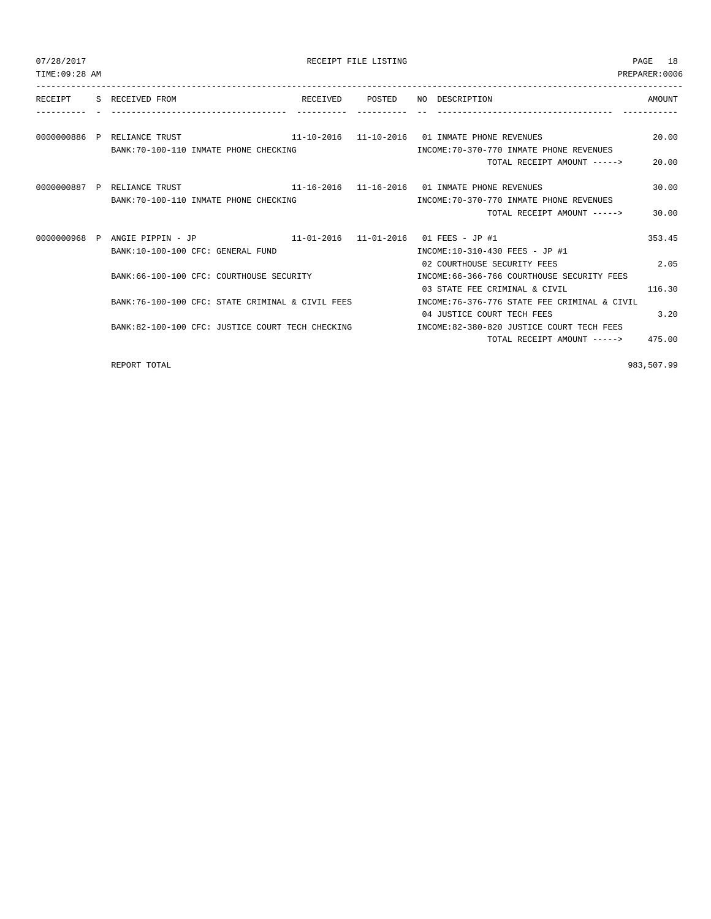| 07/28/2017<br>TIME: 09:28 AM |                                                                                                      |                 | RECEIPT FILE LISTING |                                                                                                                               | 18<br>PAGE<br>PREPARER: 0006 |
|------------------------------|------------------------------------------------------------------------------------------------------|-----------------|----------------------|-------------------------------------------------------------------------------------------------------------------------------|------------------------------|
| RECEIPT                      | S RECEIVED FROM                                                                                      | RECEIVED POSTED |                      | NO DESCRIPTION                                                                                                                | <b>AMOUNT</b>                |
|                              | 0000000886 P RELIANCE TRUST<br>BANK: 70-100-110 INMATE PHONE CHECKING                                |                 |                      | $11-10-2016$ $11-10-2016$ 01 INMATE PHONE REVENUES<br>INCOME: 70-370-770 INMATE PHONE REVENUES<br>TOTAL RECEIPT AMOUNT -----> | 20.00<br>20.00               |
|                              | 0000000887 P RELIANCE TRUST<br>BANK: 70-100-110 INMATE PHONE CHECKING                                |                 |                      | $11-16-2016$ $11-16-2016$ 01 INMATE PHONE REVENUES<br>INCOME: 70-370-770 INMATE PHONE REVENUES<br>TOTAL RECEIPT AMOUNT -----> | 30.00<br>30.00               |
|                              | 0000000968 P ANGIE PIPPIN - JP<br>BANK:10-100-100 CFC: GENERAL FUND                                  |                 |                      | $11-01-2016$ $11-01-2016$ 01 FEES - JP #1<br>INCOME:10-310-430 FEES - JP #1<br>02 COURTHOUSE SECURITY FEES                    | 353.45<br>2.05               |
|                              | BANK: 66-100-100 CFC: COURTHOUSE SECURITY                                                            |                 |                      | INCOME: 66-366-766 COURTHOUSE SECURITY FEES<br>03 STATE FEE CRIMINAL & CIVIL                                                  | 116.30                       |
|                              | BANK:76-100-100 CFC: STATE CRIMINAL & CIVIL FEES<br>BANK:82-100-100 CFC: JUSTICE COURT TECH CHECKING |                 |                      | INCOME: 76-376-776 STATE FEE CRIMINAL & CIVIL<br>04 JUSTICE COURT TECH FEES<br>INCOME:82-380-820 JUSTICE COURT TECH FEES      | 3.20                         |
|                              |                                                                                                      |                 |                      | TOTAL RECEIPT AMOUNT ----->                                                                                                   | 475.00                       |

REPORT TOTAL 883,507.99